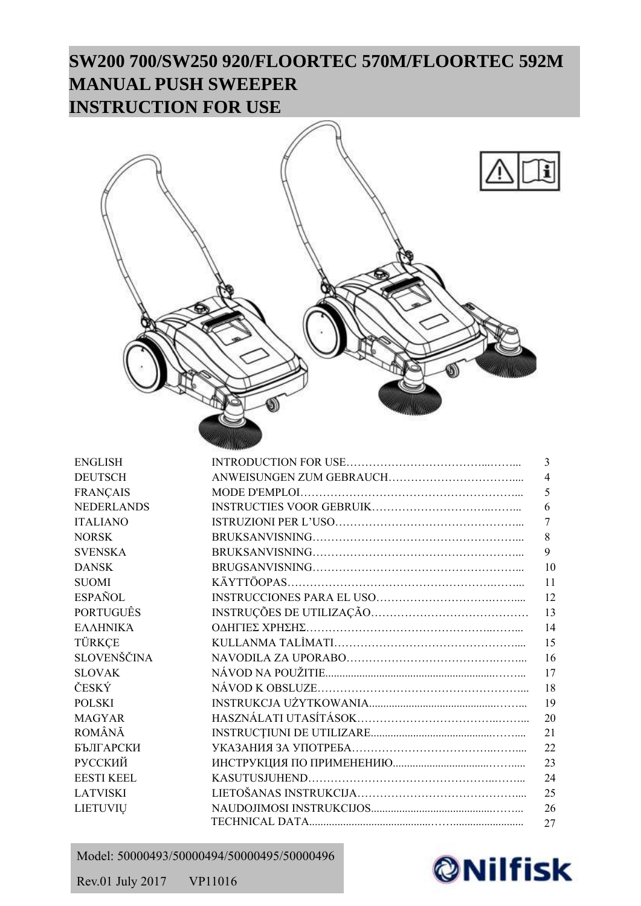# **SW200 700/SW250 920/FLOORTEC 570M/FLOORTEC 592M MANUAL PUSH SWEEPER INSTRUCTION FOR USE**



| <b>ENGLISH</b>    | $\overline{3}$ |
|-------------------|----------------|
| <b>DEUTSCH</b>    | $\overline{4}$ |
| <b>FRANÇAIS</b>   | 5              |
| <b>NEDERLANDS</b> | 6              |
| <b>ITALIANO</b>   | 7              |
| <b>NORSK</b>      | 8              |
| <b>SVENSKA</b>    | 9              |
| <b>DANSK</b>      | 10             |
| <b>SUOMI</b>      | 11             |
| <b>ESPAÑOL</b>    | 12             |
| <b>PORTUGUÊS</b>  | 13             |
| ΕΛΛΗΝΙΚΆ          | 14             |
| TÜRKÇE            | 15             |
| SLOVENŠČINA       | 16             |
| <b>SLOVAK</b>     | 17             |
| ČESKÝ             | 18             |
| <b>POLSKI</b>     | 19             |
| <b>MAGYAR</b>     | 20             |
| ROMÂNĂ            | 21             |
| БЪЛГАРСКИ         | 22             |
| РУССКИЙ           | 23             |
| <b>EESTI KEEL</b> | 24             |
| <b>LATVISKI</b>   | 25             |
| LIETUVIŲ          | 26             |
|                   | 27             |

## Model: 50000493/50000494/50000495/50000496



Rev.01 July 2017 VP11016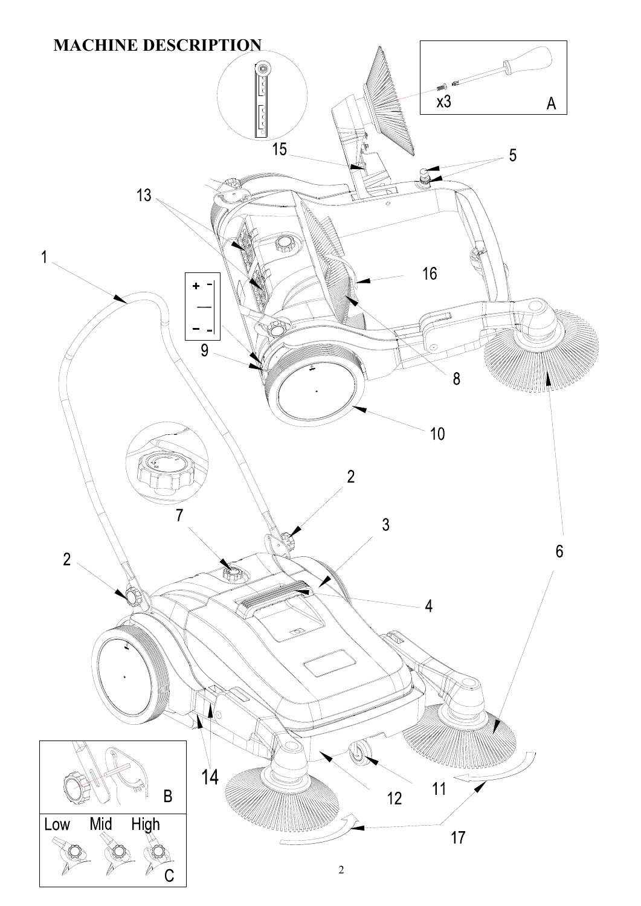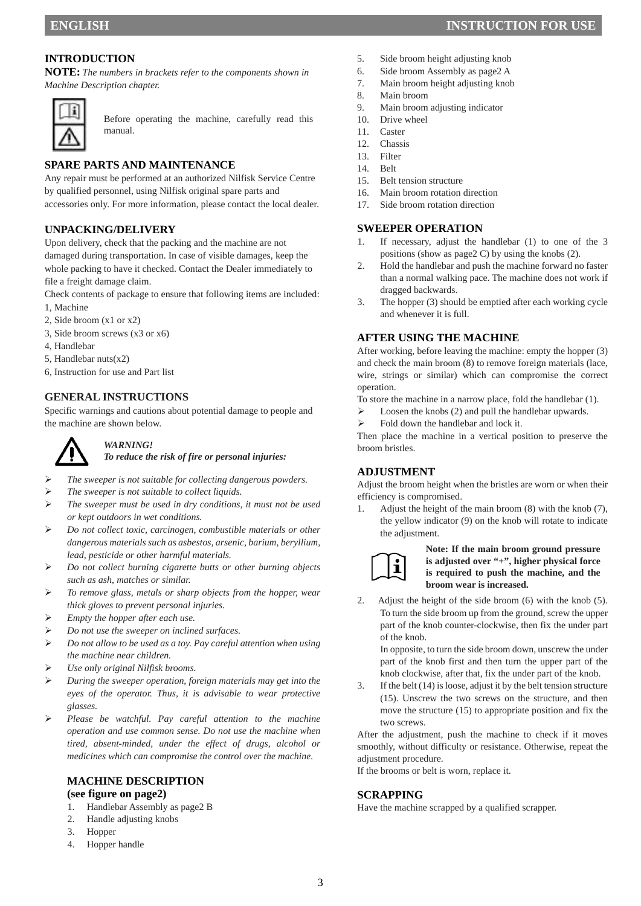**NOTE:** *The numbers in brackets refer to the components shown in Machine Description chapter.* 



Before operating the machine, carefully read this manual.

## **SPARE PARTS AND MAINTENANCE**

Any repair must be performed at an authorized Nilfisk Service Centre by qualified personnel, using Nilfisk original spare parts and accessories only. For more information, please contact the local dealer.

## **UNPACKING/DELIVERY**

Upon delivery, check that the packing and the machine are not damaged during transportation. In case of visible damages, keep the whole packing to have it checked. Contact the Dealer immediately to file a freight damage claim.

Check contents of package to ensure that following items are included: 1, Machine

- 
- 2, Side broom (x1 or x2)
- 3, Side broom screws (x3 or x6)
- 4, Handlebar
- 5, Handlebar nuts(x2)
- 6, Instruction for use and Part list

## **GENERAL INSTRUCTIONS**

Specific warnings and cautions about potential damage to people and the machine are shown below.



#### *WARNING! To reduce the risk of fire or personal injuries:*

- *The sweeper is not suitable for collecting dangerous powders.*
- *The sweeper is not suitable to collect liquids.*
- *The sweeper must be used in dry conditions, it must not be used or kept outdoors in wet conditions.*
- *Do not collect toxic, carcinogen, combustible materials or other dangerous materials such as asbestos, arsenic, barium, beryllium, lead, pesticide or other harmful materials.*
- *Do not collect burning cigarette butts or other burning objects such as ash, matches or similar.*
- *To remove glass, metals or sharp objects from the hopper, wear thick gloves to prevent personal injuries.*
- *Empty the hopper after each use.*
- *Do not use the sweeper on inclined surfaces.*
- *Do not allow to be used as a toy. Pay careful attention when using the machine near children.*
- *Use only original Nilfisk brooms.*
- *During the sweeper operation, foreign materials may get into the eyes of the operator. Thus, it is advisable to wear protective glasses.*
- *Please be watchful. Pay careful attention to the machine operation and use common sense. Do not use the machine when tired, absent-minded, under the effect of drugs, alcohol or medicines which can compromise the control over the machine.*

#### **MACHINE DESCRIPTION (see figure on page2)**

- 1. Handlebar Assembly as page2 B
- 2. Handle adjusting knobs
- 3. Hopper
- 4. Hopper handle
- 
- 5. Side broom height adjusting knob 6. Side broom Assembly as page2 A
- 7. Main broom height adjusting knob
- 8. Main broom
- 9. Main broom adjusting indicator
- 10. Drive wheel
- 11. Caster
- 12. Chassis
- 13. Filter
- 14. Belt
- 15. Belt tension structure
- 16. Main broom rotation direction
- 17. Side broom rotation direction

#### **SWEEPER OPERATION**

- 1. If necessary, adjust the handlebar (1) to one of the 3 positions (show as page2 C) by using the knobs (2).
- 2. Hold the handlebar and push the machine forward no faster than a normal walking pace. The machine does not work if dragged backwards.
- 3. The hopper (3) should be emptied after each working cycle and whenever it is full.

#### **AFTER USING THE MACHINE**

After working, before leaving the machine: empty the hopper (3) and check the main broom (8) to remove foreign materials (lace, wire, strings or similar) which can compromise the correct operation.

To store the machine in a narrow place, fold the handlebar (1).

- $\triangleright$  Loosen the knobs (2) and pull the handlebar upwards.
- $\triangleright$  Fold down the handlebar and lock it.

Then place the machine in a vertical position to preserve the broom bristles.

#### **ADJUSTMENT**

Adjust the broom height when the bristles are worn or when their efficiency is compromised.

1. Adjust the height of the main broom (8) with the knob (7), the yellow indicator (9) on the knob will rotate to indicate the adjustment.



#### **Note: If the main broom ground pressure is adjusted over "+", higher physical force is required to push the machine, and the broom wear is increased.**

2. Adjust the height of the side broom (6) with the knob (5). To turn the side broom up from the ground, screw the upper part of the knob counter-clockwise, then fix the under part of the knob.

In opposite, to turn the side broom down, unscrew the under part of the knob first and then turn the upper part of the knob clockwise, after that, fix the under part of the knob.

3. If the belt (14) is loose, adjust it by the belt tension structure (15). Unscrew the two screws on the structure, and then move the structure (15) to appropriate position and fix the two screws.

After the adjustment, push the machine to check if it moves smoothly, without difficulty or resistance. Otherwise, repeat the adjustment procedure.

If the brooms or belt is worn, replace it.

#### **SCRAPPING**

Have the machine scrapped by a qualified scrapper.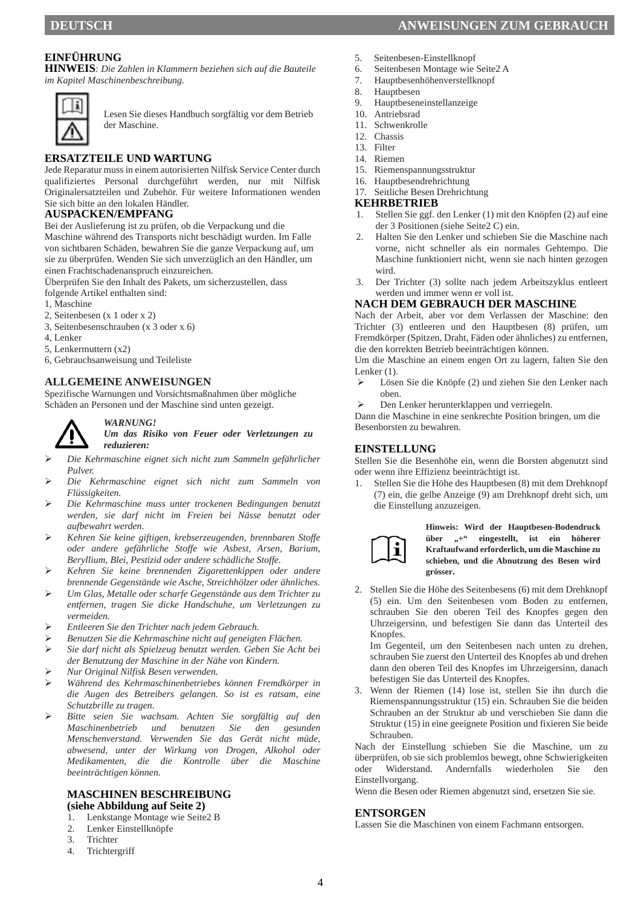#### **EINFÜHRUNG**

**HINWEIS***: Die Zahlen in Klammern beziehen sich auf die Bauteile im Kapitel Maschinenbeschreibung.* 



Lesen Sie dieses Handbuch sorgfältig vor dem Betrieb der Maschine.

#### **ERSATZTEILE UND WARTUNG**

Jede Reparatur muss in einem autorisierten Nilfisk Service Center durch qualifiziertes Personal durchgeführt werden, nur mit Nilfisk Originalersatzteilen und Zubehör. Für weitere Informationen wenden Sie sich bitte an den lokalen Händler.

#### **AUSPACKEN/EMPFANG**

Bei der Auslieferung ist zu prüfen, ob die Verpackung und die

Maschine während des Transports nicht beschädigt wurden. Im Falle von sichtbaren Schäden, bewahren Sie die ganze Verpackung auf, um sie zu überprüfen. Wenden Sie sich unverzüglich an den Händler, um einen Frachtschadenanspruch einzureichen.

Überprüfen Sie den Inhalt des Pakets, um sicherzustellen, dass

folgende Artikel enthalten sind:

- 1, Maschine
- 2, Seitenbesen (x 1 oder x 2)
- 3, Seitenbesenschrauben (x 3 oder x 6)
- 4, Lenker
- 5, Lenkermuttern (x2)
- 6, Gebrauchsanweisung und Teileliste

#### **ALLGEMEINE ANWEISUNGEN**

Spezifische Warnungen und Vorsichtsmaßnahmen über mögliche Schäden an Personen und der Maschine sind unten gezeigt.



#### *WARNUNG!*

*Um das Risiko von Feuer oder Verletzungen zu reduzieren:* 

- *Die Kehrmaschine eignet sich nicht zum Sammeln gefährlicher Pulver.*
- *Die Kehrmaschine eignet sich nicht zum Sammeln von Flüssigkeiten.*
- *Die Kehrmaschine muss unter trockenen Bedingungen benutzt werden, sie darf nicht im Freien bei Nässe benutzt oder aufbewahrt werden.*
- *Kehren Sie keine giftigen, krebserzeugenden, brennbaren Stoffe oder andere gefährliche Stoffe wie Asbest, Arsen, Barium, Beryllium, Blei, Pestizid oder andere schädliche Stoffe.*
- *Kehren Sie keine brennenden Zigarettenkippen oder andere brennende Gegenstände wie Asche, Streichhölzer oder ähnliches.*
- *Um Glas, Metalle oder scharfe Gegenstände aus dem Trichter zu entfernen, tragen Sie dicke Handschuhe, um Verletzungen zu vermeiden.*
- *Entleeren Sie den Trichter nach jedem Gebrauch.*
- *Benutzen Sie die Kehrmaschine nicht auf geneigten Flächen.*
- *Sie darf nicht als Spielzeug benutzt werden. Geben Sie Acht bei der Benutzung der Maschine in der Nähe von Kindern.*
- *Nur Original Nilfisk Besen verwenden.*
- *Während des Kehrmaschinenbetriebes können Fremdkörper in die Augen des Betreibers gelangen. So ist es ratsam, eine Schutzbrille zu tragen.*
- *Bitte seien Sie wachsam. Achten Sie sorgfältig auf den Maschinenbetrieb und benutzen Sie den gesunden Menschenverstand. Verwenden Sie das Gerät nicht müde, abwesend, unter der Wirkung von Drogen, Alkohol oder Medikamenten, die die Kontrolle über die Maschine beeinträchtigen können.*

#### **MASCHINEN BESCHREIBUNG (siehe Abbildung auf Seite 2)**

- 1. Lenkstange Montage wie Seite2 B
- 2. Lenker Einstellknöpfe
- 3. Trichter
- 4. Trichtergriff
- 5. Seitenbesen-Einstellknopf
- 6. Seitenbesen Montage wie Seite2 A
- 7. Hauptbesenhöhenverstellknopf
- 8. Hauptbesen<br>9. Hauptbesene
- 9. Hauptbeseneinstellanzeige
- 10. Antriebsrad
- 11. Schwenkrolle
- 12. Chassis
- 13. Filter
- 14. Riemen
- 15. Riemenspannungsstruktur
- 16. Hauptbesendrehrichtung
- 17. Seitliche Besen Drehrichtung

## **KEHRBETRIEB**

- 1. Stellen Sie ggf. den Lenker (1) mit den Knöpfen (2) auf eine der 3 Positionen (siehe Seite2 C) ein.
- 2. Halten Sie den Lenker und schieben Sie die Maschine nach vorne, nicht schneller als ein normales Gehtempo. Die Maschine funktioniert nicht, wenn sie nach hinten gezogen wird.
- 3. Der Trichter (3) sollte nach jedem Arbeitszyklus entleert werden und immer wenn er voll ist.

#### **NACH DEM GEBRAUCH DER MASCHINE**

Nach der Arbeit, aber vor dem Verlassen der Maschine: den Trichter (3) entleeren und den Hauptbesen (8) prüfen, um Fremdkörper (Spitzen, Draht, Fäden oder ähnliches) zu entfernen, die den korrekten Betrieb beeinträchtigen können.

Um die Maschine an einem engen Ort zu lagern, falten Sie den Lenker (1).

- Lösen Sie die Knöpfe (2) und ziehen Sie den Lenker nach oben.
- Den Lenker herunterklappen und verriegeln.

Dann die Maschine in eine senkrechte Position bringen, um die Besenborsten zu bewahren.

#### **EINSTELLUNG**

Stellen Sie die Besenhöhe ein, wenn die Borsten abgenutzt sind oder wenn ihre Effizienz beeinträchtigt ist.

1. Stellen Sie die Höhe des Hauptbesen (8) mit dem Drehknopf (7) ein, die gelbe Anzeige (9) am Drehknopf dreht sich, um die Einstellung anzuzeigen.



**Hinweis: Wird der Hauptbesen-Bodendruck**  über "+" eingestellt, ist ein höherer **Kraftaufwand erforderlich, um die Maschine zu schieben, und die Abnutzung des Besen wird grösser.**

2. Stellen Sie die Höhe des Seitenbesens (6) mit dem Drehknopf (5) ein. Um den Seitenbesen vom Boden zu entfernen, schrauben Sie den oberen Teil des Knopfes gegen den Uhrzeigersinn, und befestigen Sie dann das Unterteil des Knopfes.

Im Gegenteil, um den Seitenbesen nach unten zu drehen, schrauben Sie zuerst den Unterteil des Knopfes ab und drehen dann den oberen Teil des Knopfes im Uhrzeigersinn, danach befestigen Sie das Unterteil des Knopfes.

3. Wenn der Riemen (14) lose ist, stellen Sie ihn durch die Riemenspannungsstruktur (15) ein. Schrauben Sie die beiden Schrauben an der Struktur ab und verschieben Sie dann die Struktur (15) in eine geeignete Position und fixieren Sie beide Schrauben.

Nach der Einstellung schieben Sie die Maschine, um zu überprüfen, ob sie sich problemlos bewegt, ohne Schwierigkeiten oder Widerstand. Andernfalls wiederholen Sie den Einstellvorgang.

Wenn die Besen oder Riemen abgenutzt sind, ersetzen Sie sie.

#### **ENTSORGEN**

Lassen Sie die Maschinen von einem Fachmann entsorgen.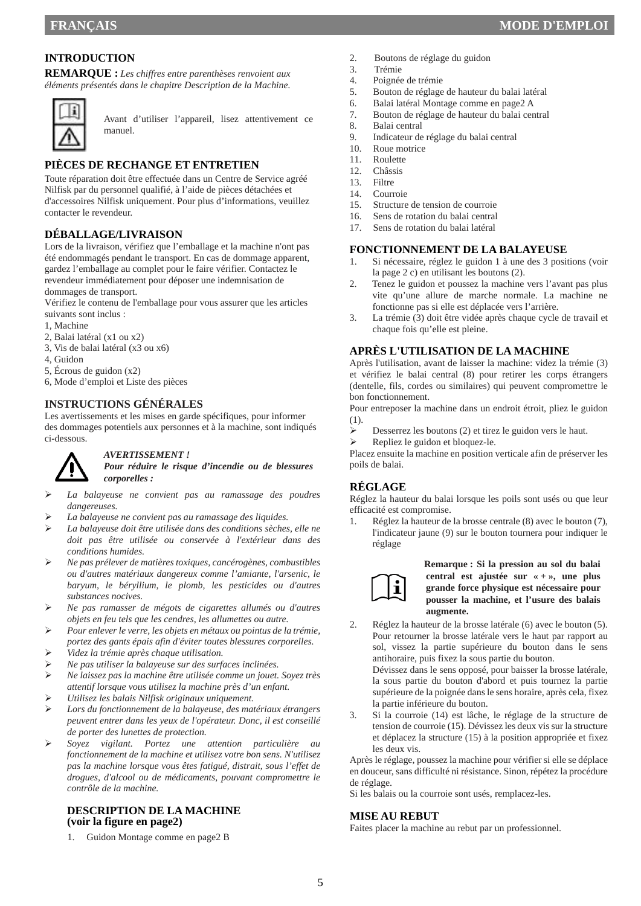## **INTRODUCTION**

**REMARQUE :** *Les chiffres entre parenthèses renvoient aux éléments présentés dans le chapitre Description de la Machine.* 



Avant d'utiliser l'appareil, lisez attentivement ce manuel.

## **PIÈCES DE RECHANGE ET ENTRETIEN**

Toute réparation doit être effectuée dans un Centre de Service agréé Nilfisk par du personnel qualifié, à l'aide de pièces détachées et d'accessoires Nilfisk uniquement. Pour plus d'informations, veuillez contacter le revendeur.

## **DÉBALLAGE/LIVRAISON**

Lors de la livraison, vérifiez que l'emballage et la machine n'ont pas été endommagés pendant le transport. En cas de dommage apparent, gardez l'emballage au complet pour le faire vérifier. Contactez le revendeur immédiatement pour déposer une indemnisation de dommages de transport.

Vérifiez le contenu de l'emballage pour vous assurer que les articles suivants sont inclus :

- 1, Machine
- 2, Balai latéral (x1 ou x2)
- 3, Vis de balai latéral (x3 ou x6)
- 4, Guidon
- 5, Écrous de guidon (x2)
- 6, Mode d'emploi et Liste des pièces

## **INSTRUCTIONS GÉNÉRALES**

Les avertissements et les mises en garde spécifiques, pour informer des dommages potentiels aux personnes et à la machine, sont indiqués ci-dessous.



#### *AVERTISSEMENT !*

*Pour réduire le risque d'incendie ou de blessures corporelles :* 

- *La balayeuse ne convient pas au ramassage des poudres dangereuses.*
- *La balayeuse ne convient pas au ramassage des liquides.*
- *La balayeuse doit être utilisée dans des conditions sèches, elle ne doit pas être utilisée ou conservée à l'extérieur dans des conditions humides.*
- *Ne pas prélever de matières toxiques, cancérogènes, combustibles ou d'autres matériaux dangereux comme l'amiante, l'arsenic, le baryum, le béryllium, le plomb, les pesticides ou d'autres substances nocives.*
- *Ne pas ramasser de mégots de cigarettes allumés ou d'autres objets en feu tels que les cendres, les allumettes ou autre.*
- *Pour enlever le verre, les objets en métaux ou pointus de la trémie, portez des gants épais afin d'éviter toutes blessures corporelles.*
- *Videz la trémie après chaque utilisation.*
- *Ne pas utiliser la balayeuse sur des surfaces inclinées.*
- *Ne laissez pas la machine être utilisée comme un jouet. Soyez très attentif lorsque vous utilisez la machine près d'un enfant.*
- *Utilisez les balais Nilfisk originaux uniquement.*
- *Lors du fonctionnement de la balayeuse, des matériaux étrangers peuvent entrer dans les yeux de l'opérateur. Donc, il est conseillé de porter des lunettes de protection.*
- *Soyez vigilant. Portez une attention particulière au fonctionnement de la machine et utilisez votre bon sens. N'utilisez pas la machine lorsque vous êtes fatigué, distrait, sous l'effet de drogues, d'alcool ou de médicaments, pouvant compromettre le contrôle de la machine.*

#### **DESCRIPTION DE LA MACHINE (voir la figure en page2)**

1. Guidon Montage comme en page2 B

- 2. Boutons de réglage du guidon
- 3. Trémie
- 4. Poignée de trémie<br>5. Bouton de réglage
- 5. Bouton de réglage de hauteur du balai latéral
- 6. Balai latéral Montage comme en page2 A
- 7. Bouton de réglage de hauteur du balai central
- 8. Balai central
- 9. Indicateur de réglage du balai central
- 10. Roue motrice
- 11. Roulette
- 12. Châssis
- Filtre 14. Courroie
- 
- 15. Structure de tension de courroie
- 16. Sens de rotation du balai central 17. Sens de rotation du balai latéral

#### **FONCTIONNEMENT DE LA BALAYEUSE**

- 1. Si nécessaire, réglez le guidon 1 à une des 3 positions (voir la page 2 c) en utilisant les boutons (2).
- 2. Tenez le guidon et poussez la machine vers l'avant pas plus vite qu'une allure de marche normale. La machine ne fonctionne pas si elle est déplacée vers l'arrière.
- 3. La trémie (3) doit être vidée après chaque cycle de travail et chaque fois qu'elle est pleine.

#### **APRÈS L'UTILISATION DE LA MACHINE**

Après l'utilisation, avant de laisser la machine: videz la trémie (3) et vérifiez le balai central (8) pour retirer les corps étrangers (dentelle, fils, cordes ou similaires) qui peuvent compromettre le bon fonctionnement.

Pour entreposer la machine dans un endroit étroit, pliez le guidon (1).

- $\triangleright$  Desserrez les boutons (2) et tirez le guidon vers le haut.<br>
Repliez le guidon et bloquez-le.
- Repliez le guidon et bloquez-le.

Placez ensuite la machine en position verticale afin de préserver les poils de balai.

## **RÉGLAGE**

Réglez la hauteur du balai lorsque les poils sont usés ou que leur efficacité est compromise.

1. Réglez la hauteur de la brosse centrale (8) avec le bouton (7), l'indicateur jaune (9) sur le bouton tournera pour indiquer le réglage



#### **Remarque : Si la pression au sol du balai central est ajustée sur « + », une plus grande force physique est nécessaire pour pousser la machine, et l'usure des balais augmente.**

2. Réglez la hauteur de la brosse latérale (6) avec le bouton (5). Pour retourner la brosse latérale vers le haut par rapport au sol, vissez la partie supérieure du bouton dans le sens antihoraire, puis fixez la sous partie du bouton.

Dévissez dans le sens opposé, pour baisser la brosse latérale, la sous partie du bouton d'abord et puis tournez la partie supérieure de la poignée dans le sens horaire, après cela, fixez la partie inférieure du bouton.

3. Si la courroie (14) est lâche, le réglage de la structure de tension de courroie (15). Dévissez les deux vis sur la structure et déplacez la structure (15) à la position appropriée et fixez les deux vis.

Après le réglage, poussez la machine pour vérifier si elle se déplace en douceur, sans difficulté ni résistance. Sinon, répétez la procédure de réglage.

Si les balais ou la courroie sont usés, remplacez-les.

#### **MISE AU REBUT**

Faites placer la machine au rebut par un professionnel.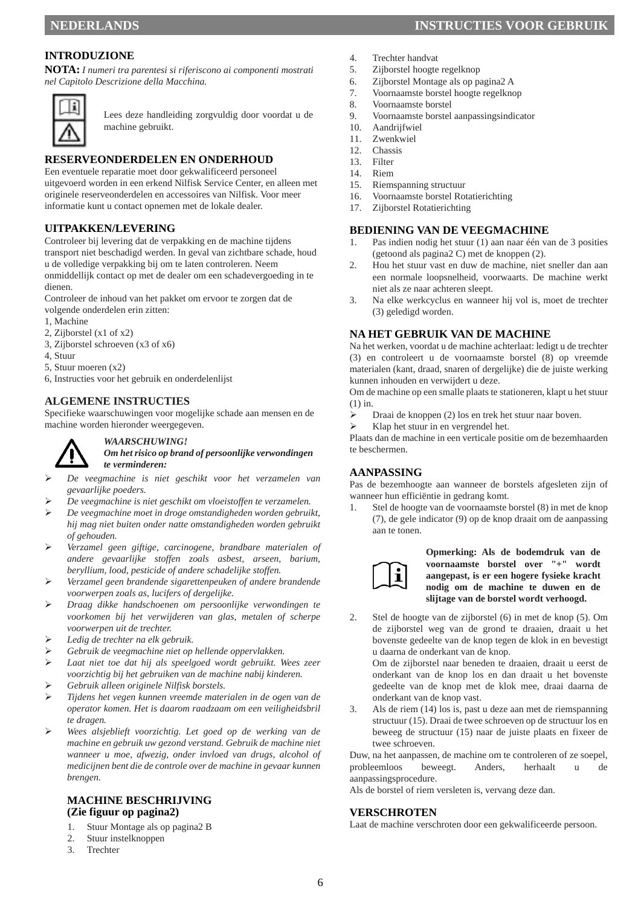## **INTRODUZIONE**

**NOTA:** *I numeri tra parentesi si riferiscono ai componenti mostrati nel Capitolo Descrizione della Macchina.* 



Lees deze handleiding zorgvuldig door voordat u de machine gebruikt.

#### **RESERVEONDERDELEN EN ONDERHOUD**

Een eventuele reparatie moet door gekwalificeerd personeel uitgevoerd worden in een erkend Nilfisk Service Center, en alleen met originele reserveonderdelen en accessoires van Nilfisk. Voor meer informatie kunt u contact opnemen met de lokale dealer.

#### **UITPAKKEN/LEVERING**

Controleer bij levering dat de verpakking en de machine tijdens transport niet beschadigd werden. In geval van zichtbare schade, houd u de volledige verpakking bij om te laten controleren. Neem onmiddellijk contact op met de dealer om een schadevergoeding in te dienen.

Controleer de inhoud van het pakket om ervoor te zorgen dat de volgende onderdelen erin zitten:

- 1, Machine
- 2, Zijborstel (x1 of x2)
- 3, Zijborstel schroeven (x3 of x6)
- 4, Stuur
- 5, Stuur moeren (x2)
- 6, Instructies voor het gebruik en onderdelenlijst

#### **ALGEMENE INSTRUCTIES**

Specifieke waarschuwingen voor mogelijke schade aan mensen en de machine worden hieronder weergegeven.



#### *WAARSCHUWING! Om het risico op brand of persoonlijke verwondingen te verminderen:*

- *De veegmachine is niet geschikt voor het verzamelen van gevaarlijke poeders.*
- *De veegmachine is niet geschikt om vloeistoffen te verzamelen.*
- *De veegmachine moet in droge omstandigheden worden gebruikt, hij mag niet buiten onder natte omstandigheden worden gebruikt of gehouden.*
- *Verzamel geen giftige, carcinogene, brandbare materialen of andere gevaarlijke stoffen zoals asbest, arseen, barium, beryllium, lood, pesticide of andere schadelijke stoffen.*
- *Verzamel geen brandende sigarettenpeuken of andere brandende voorwerpen zoals as, lucifers of dergelijke.*
- *Draag dikke handschoenen om persoonlijke verwondingen te voorkomen bij het verwijderen van glas, metalen of scherpe voorwerpen uit de trechter.*
- *Ledig de trechter na elk gebruik.*
- *Gebruik de veegmachine niet op hellende oppervlakken.*
- *Laat niet toe dat hij als speelgoed wordt gebruikt. Wees zeer voorzichtig bij het gebruiken van de machine nabij kinderen.*
- *Gebruik alleen originele Nilfisk borstels.*
- *Tijdens het vegen kunnen vreemde materialen in de ogen van de operator komen. Het is daarom raadzaam om een veiligheidsbril te dragen.*
- *Wees alsjeblieft voorzichtig. Let goed op de werking van de machine en gebruik uw gezond verstand. Gebruik de machine niet wanneer u moe, afwezig, onder invloed van drugs, alcohol of medicijnen bent die de controle over de machine in gevaar kunnen brengen.*

#### **MACHINE BESCHRIJVING (Zie figuur op pagina2)**

- 1. Stuur Montage als op pagina2 B
- 2. Stuur instelknoppen
- 3. Trechter
- 4. Trechter handvat
- 5. Zijborstel hoogte regelknop
- 6. Zijborstel Montage als op pagina2 A
- 7. Voornaamste borstel hoogte regelknop
- 8. Voornaamste borstel
- 9. Voornaamste borstel aanpassingsindicator
- 10. Aandrijfwiel
- 11. Zwenkwiel
- 12. Chassis<br>13. Filter
- 13. Filter<br>14. Riem
- Riem.
- 15. Riemspanning structuur
- 16. Voornaamste borstel Rotatierichting
- 17. Zijborstel Rotatierichting

#### **BEDIENING VAN DE VEEGMACHINE**

- 1. Pas indien nodig het stuur (1) aan naar één van de 3 posities (getoond als pagina2 C) met de knoppen (2).
- 2. Hou het stuur vast en duw de machine, niet sneller dan aan een normale loopsnelheid, voorwaarts. De machine werkt niet als ze naar achteren sleept.
- 3. Na elke werkcyclus en wanneer hij vol is, moet de trechter (3) geledigd worden.

#### **NA HET GEBRUIK VAN DE MACHINE**

Na het werken, voordat u de machine achterlaat: ledigt u de trechter (3) en controleert u de voornaamste borstel (8) op vreemde materialen (kant, draad, snaren of dergelijke) die de juiste werking kunnen inhouden en verwijdert u deze.

Om de machine op een smalle plaats te stationeren, klapt u het stuur (1) in.

- Draai de knoppen (2) los en trek het stuur naar boven.
- Klap het stuur in en vergrendel het.

Plaats dan de machine in een verticale positie om de bezemhaarden te beschermen.

#### **AANPASSING**

Pas de bezemhoogte aan wanneer de borstels afgesleten zijn of wanneer hun efficiëntie in gedrang komt.

1. Stel de hoogte van de voornaamste borstel (8) in met de knop (7), de gele indicator (9) op de knop draait om de aanpassing aan te tonen.



**Opmerking: Als de bodemdruk van de voornaamste borstel over "+" wordt aangepast, is er een hogere fysieke kracht nodig om de machine te duwen en de slijtage van de borstel wordt verhoogd.**

2. Stel de hoogte van de zijborstel (6) in met de knop (5). Om de zijborstel weg van de grond te draaien, draait u het bovenste gedeelte van de knop tegen de klok in en bevestigt u daarna de onderkant van de knop.

Om de zijborstel naar beneden te draaien, draait u eerst de onderkant van de knop los en dan draait u het bovenste gedeelte van de knop met de klok mee, draai daarna de onderkant van de knop vast.

3. Als de riem (14) los is, past u deze aan met de riemspanning structuur (15). Draai de twee schroeven op de structuur los en beweeg de structuur (15) naar de juiste plaats en fixeer de twee schroeven.

Duw, na het aanpassen, de machine om te controleren of ze soepel, probleemloos beweegt. Anders, herhaalt u de aanpassingsprocedure.

Als de borstel of riem versleten is, vervang deze dan.

#### **VERSCHROTEN**

Laat de machine verschroten door een gekwalificeerde persoon.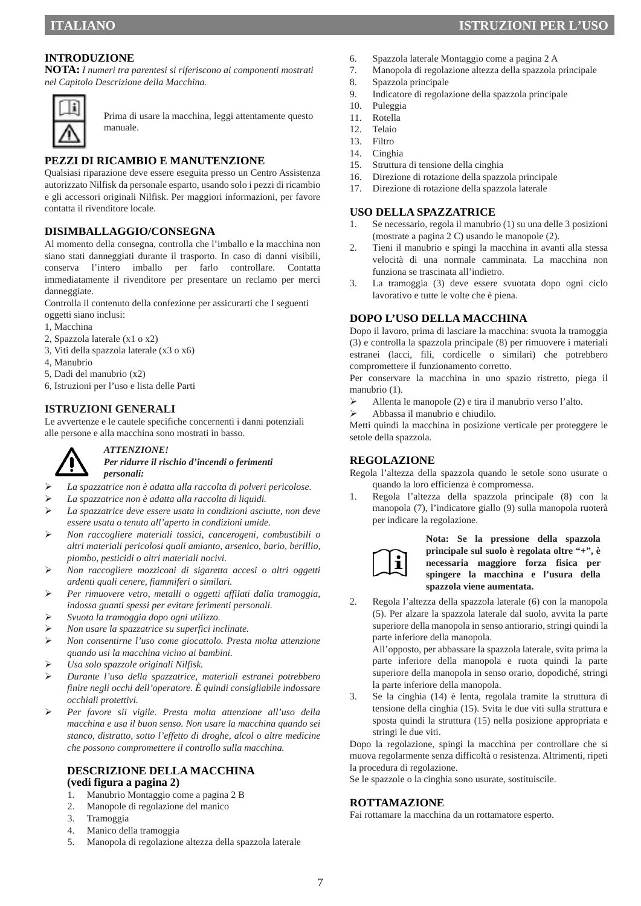#### **INTRODUZIONE**

**NOTA:** *I numeri tra parentesi si riferiscono ai componenti mostrati nel Capitolo Descrizione della Macchina.* 



Prima di usare la macchina, leggi attentamente questo manuale.

#### **PEZZI DI RICAMBIO E MANUTENZIONE**

Qualsiasi riparazione deve essere eseguita presso un Centro Assistenza autorizzato Nilfisk da personale esparto, usando solo i pezzi di ricambio e gli accessori originali Nilfisk. Per maggiori informazioni, per favore contatta il rivenditore locale.

#### **DISIMBALLAGGIO/CONSEGNA**

Al momento della consegna, controlla che l'imballo e la macchina non siano stati danneggiati durante il trasporto. In caso di danni visibili, conserva l'intero imballo per farlo controllare. Contatta immediatamente il rivenditore per presentare un reclamo per merci danneggiate.

Controlla il contenuto della confezione per assicurarti che I seguenti oggetti siano inclusi:

- 1, Macchina
- 2, Spazzola laterale (x1 o x2)
- 3, Viti della spazzola laterale (x3 o x6)
- 4, Manubrio
- 5, Dadi del manubrio (x2)
- 6, Istruzioni per l'uso e lista delle Parti

#### **ISTRUZIONI GENERALI**

Le avvertenze e le cautele specifiche concernenti i danni potenziali alle persone e alla macchina sono mostrati in basso.



*ATTENZIONE!* 

#### *Per ridurre il rischio d'incendi o ferimenti personali:*

- *La spazzatrice non è adatta alla raccolta di polveri pericolose.*
- *La spazzatrice non è adatta alla raccolta di liquidi.*
- *La spazzatrice deve essere usata in condizioni asciutte, non deve essere usata o tenuta all'aperto in condizioni umide.*
- *Non raccogliere materiali tossici, cancerogeni, combustibili o altri materiali pericolosi quali amianto, arsenico, bario, berillio, piombo, pesticidi o altri materiali nocivi.*
- *Non raccogliere mozziconi di sigaretta accesi o altri oggetti ardenti quali cenere, fiammiferi o similari.*
- *Per rimuovere vetro, metalli o oggetti affilati dalla tramoggia, indossa guanti spessi per evitare ferimenti personali.*
- *Svuota la tramoggia dopo ogni utilizzo.*
- *Non usare la spazzatrice su superfici inclinate.*
- *Non consentirne l'uso come giocattolo. Presta molta attenzione quando usi la macchina vicino ai bambini.*
- *Usa solo spazzole originali Nilfisk.*
- *Durante l'uso della spazzatrice, materiali estranei potrebbero finire negli occhi dell'operatore. È quindi consigliabile indossare occhiali protettivi.*
- *Per favore sii vigile. Presta molta attenzione all'uso della macchina e usa il buon senso. Non usare la macchina quando sei stanco, distratto, sotto l'effetto di droghe, alcol o altre medicine che possono compromettere il controllo sulla macchina.*

#### **DESCRIZIONE DELLA MACCHINA (vedi figura a pagina 2)**

- 1. Manubrio Montaggio come a pagina 2 B
- 2. Manopole di regolazione del manico
- 3. Tramoggia
- 4. Manico della tramoggia
- 5. Manopola di regolazione altezza della spazzola laterale
- 6. Spazzola laterale Montaggio come a pagina 2 A
- 7. Manopola di regolazione altezza della spazzola principale
- 8. Spazzola principale
- 9. Indicatore di regolazione della spazzola principale
- 10. Puleggia
- 11. Rotella
- 12. Telaio
- 13. Filtro
- 14. Cinghia
- 15. Struttura di tensione della cinghia
- 16. Direzione di rotazione della spazzola principale
- 17. Direzione di rotazione della spazzola laterale

#### **USO DELLA SPAZZATRICE**

- 1. Se necessario, regola il manubrio (1) su una delle 3 posizioni (mostrate a pagina 2 C) usando le manopole (2).
- 2. Tieni il manubrio e spingi la macchina in avanti alla stessa velocità di una normale camminata. La macchina non funziona se trascinata all'indietro.
- 3. La tramoggia (3) deve essere svuotata dopo ogni ciclo lavorativo e tutte le volte che è piena.

#### **DOPO L'USO DELLA MACCHINA**

Dopo il lavoro, prima di lasciare la macchina: svuota la tramoggia (3) e controlla la spazzola principale (8) per rimuovere i materiali estranei (lacci, fili, cordicelle o similari) che potrebbero compromettere il funzionamento corretto.

Per conservare la macchina in uno spazio ristretto, piega il manubrio (1).

- $\triangleright$  Allenta le manopole (2) e tira il manubrio verso l'alto.
- Abbassa il manubrio e chiudilo.

Metti quindi la macchina in posizione verticale per proteggere le setole della spazzola.

## **REGOLAZIONE**

Regola l'altezza della spazzola quando le setole sono usurate o quando la loro efficienza è compromessa.

1. Regola l'altezza della spazzola principale (8) con la manopola (7), l'indicatore giallo (9) sulla manopola ruoterà per indicare la regolazione.



#### **Nota: Se la pressione della spazzola principale sul suolo è regolata oltre "+", è necessaria maggiore forza fisica per spingere la macchina e l'usura della spazzola viene aumentata.**

2. Regola l'altezza della spazzola laterale (6) con la manopola (5). Per alzare la spazzola laterale dal suolo, avvita la parte superiore della manopola in senso antiorario, stringi quindi la parte inferiore della manopola.

All'opposto, per abbassare la spazzola laterale, svita prima la parte inferiore della manopola e ruota quindi la parte superiore della manopola in senso orario, dopodiché, stringi la parte inferiore della manopola.

3. Se la cinghia (14) è lenta, regolala tramite la struttura di tensione della cinghia (15). Svita le due viti sulla struttura e sposta quindi la struttura (15) nella posizione appropriata e stringi le due viti.

Dopo la regolazione, spingi la macchina per controllare che si muova regolarmente senza difficoltà o resistenza. Altrimenti, ripeti la procedura di regolazione.

Se le spazzole o la cinghia sono usurate, sostituiscile.

#### **ROTTAMAZIONE**

Fai rottamare la macchina da un rottamatore esperto.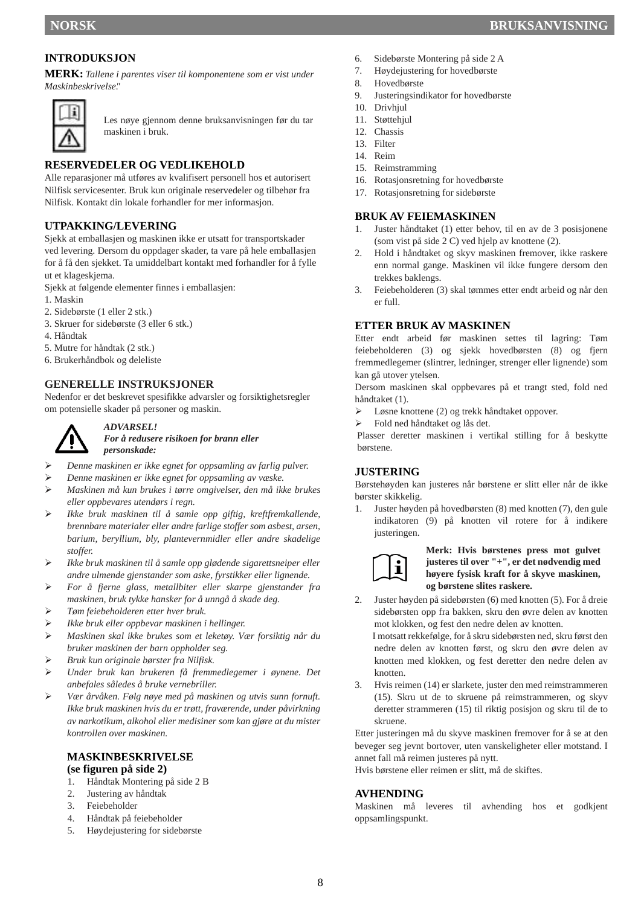## **INTRODUKSJON**

**MERK:** *Tallene i parentes viser til komponentene som er vist under "Maskinbeskrivelse".* 



Les nøye gjennom denne bruksanvisningen før du tar maskinen i bruk.

## **RESERVEDELER OG VEDLIKEHOLD**

Alle reparasjoner må utføres av kvalifisert personell hos et autorisert Nilfisk servicesenter. Bruk kun originale reservedeler og tilbehør fra Nilfisk. Kontakt din lokale forhandler for mer informasjon.

#### **UTPAKKING/LEVERING**

Sjekk at emballasjen og maskinen ikke er utsatt for transportskader ved levering. Dersom du oppdager skader, ta vare på hele emballasjen for å få den sjekket. Ta umiddelbart kontakt med forhandler for å fylle ut et klageskjema.

Sjekk at følgende elementer finnes i emballasjen:

- 1. Maskin
- 2. Sidebørste (1 eller 2 stk.)
- 3. Skruer for sidebørste (3 eller 6 stk.)
- 4. Håndtak
- 5. Mutre for håndtak (2 stk.)
- 6. Brukerhåndbok og deleliste

#### **GENERELLE INSTRUKSJONER**

Nedenfor er det beskrevet spesifikke advarsler og forsiktighetsregler om potensielle skader på personer og maskin.



#### *ADVARSEL! For å redusere risikoen for brann eller personskade:*

- *Denne maskinen er ikke egnet for oppsamling av farlig pulver.*
- *Denne maskinen er ikke egnet for oppsamling av væske.*
- *Maskinen må kun brukes i tørre omgivelser, den må ikke brukes eller oppbevares utendørs i regn.*
- *Ikke bruk maskinen til å samle opp giftig, kreftfremkallende, brennbare materialer eller andre farlige stoffer som asbest, arsen, barium, beryllium, bly, plantevernmidler eller andre skadelige stoffer.*
- *Ikke bruk maskinen til å samle opp glødende sigarettsneiper eller andre ulmende gjenstander som aske, fyrstikker eller lignende.*
- *For å fjerne glass, metallbiter eller skarpe gjenstander fra maskinen, bruk tykke hansker for å unngå å skade deg.*
- *Tøm feiebeholderen etter hver bruk.*
- *Ikke bruk eller oppbevar maskinen i hellinger.*
- *Maskinen skal ikke brukes som et leketøy. Vær forsiktig når du bruker maskinen der barn oppholder seg.*
- *Bruk kun originale børster fra Nilfisk.*
- *Under bruk kan brukeren få fremmedlegemer i øynene. Det anbefales således å bruke vernebriller.*
- *Vær årvåken. Følg nøye med på maskinen og utvis sunn fornuft. Ikke bruk maskinen hvis du er trøtt, fraværende, under påvirkning av narkotikum, alkohol eller medisiner som kan gjøre at du mister kontrollen over maskinen.*

#### **MASKINBESKRIVELSE (se figuren på side 2)**

- 1. Håndtak Montering på side 2 B
- 2. Justering av håndtak
- 3. Feiebeholder
- 4. Håndtak på feiebeholder
- 5. Høydejustering for sidebørste
- 6. Sidebørste Montering på side 2 A
- 7. Høydejustering for hovedbørste
- 8. Hovedbørste
- 9. Justeringsindikator for hovedbørste
- 10. Drivhjul
- 11. Støttehjul
- 12. Chassis
- 13. Filter
- 14. Reim
- 15. Reimstramming
- 16. Rotasjonsretning for hovedbørste
- 17. Rotasjonsretning for sidebørste

#### **BRUK AV FEIEMASKINEN**

- 1. Juster håndtaket (1) etter behov, til en av de 3 posisjonene (som vist på side 2 C) ved hjelp av knottene (2).
- 2. Hold i håndtaket og skyv maskinen fremover, ikke raskere enn normal gange. Maskinen vil ikke fungere dersom den trekkes baklengs.
- 3. Feiebeholderen (3) skal tømmes etter endt arbeid og når den er full.

#### **ETTER BRUK AV MASKINEN**

Etter endt arbeid før maskinen settes til lagring: Tøm feiebeholderen (3) og sjekk hovedbørsten (8) og fjern fremmedlegemer (slintrer, ledninger, strenger eller lignende) som kan gå utover ytelsen.

Dersom maskinen skal oppbevares på et trangt sted, fold ned håndtaket (1).

- Løsne knottene (2) og trekk håndtaket oppover.
- Fold ned håndtaket og lås det.

Plasser deretter maskinen i vertikal stilling for å beskytte børstene.

#### **JUSTERING**

Børstehøyden kan justeres når børstene er slitt eller når de ikke børster skikkelig.

1. Juster høyden på hovedbørsten (8) med knotten (7), den gule indikatoren (9) på knotten vil rotere for å indikere justeringen.



#### **Merk: Hvis børstenes press mot gulvet justeres til over "+", er det nødvendig med høyere fysisk kraft for å skyve maskinen, og børstene slites raskere.**

2. Juster høyden på sidebørsten (6) med knotten (5). For å dreie sidebørsten opp fra bakken, skru den øvre delen av knotten mot klokken, og fest den nedre delen av knotten.

I motsatt rekkefølge, for å skru sidebørsten ned, skru først den nedre delen av knotten først, og skru den øvre delen av knotten med klokken, og fest deretter den nedre delen av knotten.

3. Hvis reimen (14) er slarkete, juster den med reimstrammeren (15). Skru ut de to skruene på reimstrammeren, og skyv deretter strammeren (15) til riktig posisjon og skru til de to skruene.

Etter justeringen må du skyve maskinen fremover for å se at den beveger seg jevnt bortover, uten vanskeligheter eller motstand. I annet fall må reimen justeres på nytt.

Hvis børstene eller reimen er slitt, må de skiftes.

#### **AVHENDING**

Maskinen må leveres til avhending hos et godkjent oppsamlingspunkt.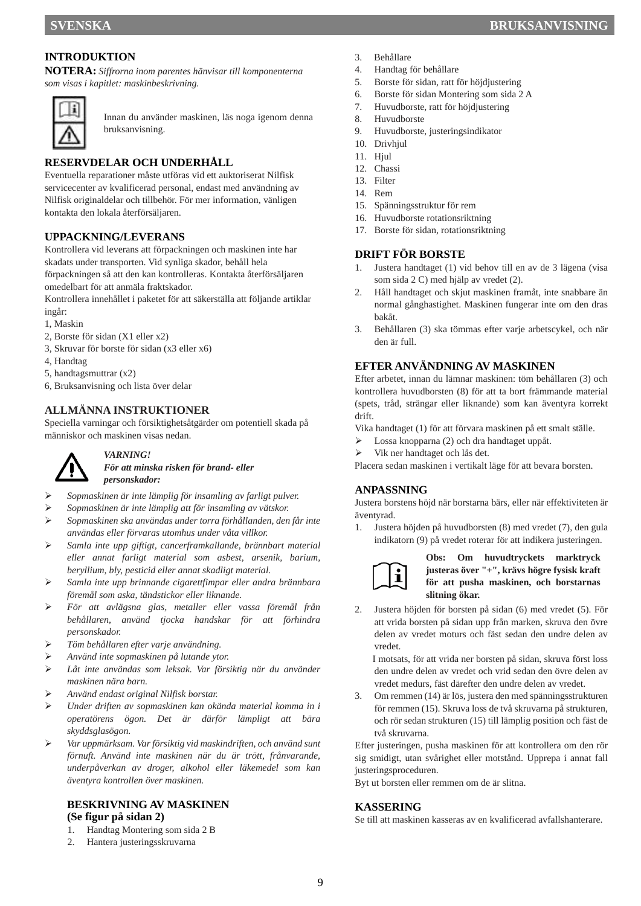## **INTRODUKTION**

**NOTERA:** *Siffrorna inom parentes hänvisar till komponenterna som visas i kapitlet: maskinbeskrivning.* 



Innan du använder maskinen, läs noga igenom denna bruksanvisning.

## **RESERVDELAR OCH UNDERHÅLL**

Eventuella reparationer måste utföras vid ett auktoriserat Nilfisk servicecenter av kvalificerad personal, endast med användning av Nilfisk originaldelar och tillbehör. För mer information, vänligen kontakta den lokala återförsäljaren.

## **UPPACKNING/LEVERANS**

Kontrollera vid leverans att förpackningen och maskinen inte har skadats under transporten. Vid synliga skador, behåll hela förpackningen så att den kan kontrolleras. Kontakta återförsäljaren

omedelbart för att anmäla fraktskador.

Kontrollera innehållet i paketet för att säkerställa att följande artiklar ingår:

- 1, Maskin
- 2, Borste för sidan (X1 eller x2)
- 3, Skruvar för borste för sidan (x3 eller x6)
- 4, Handtag
- 5, handtagsmuttrar (x2)
- 6, Bruksanvisning och lista över delar

#### **ALLMÄNNA INSTRUKTIONER**

Speciella varningar och försiktighetsåtgärder om potentiell skada på människor och maskinen visas nedan.



#### *VARNING!*

*För att minska risken för brand- eller personskador:* 

- *Sopmaskinen är inte lämplig för insamling av farligt pulver.*
- *Sopmaskinen är inte lämplig att för insamling av vätskor.*
- *Sopmaskinen ska användas under torra förhållanden, den får inte användas eller förvaras utomhus under våta villkor.*
- *Samla inte upp giftigt, cancerframkallande, brännbart material eller annat farligt material som asbest, arsenik, barium, beryllium, bly, pesticid eller annat skadligt material.*
- *Samla inte upp brinnande cigarettfimpar eller andra brännbara föremål som aska, tändstickor eller liknande.*
- *För att avlägsna glas, metaller eller vassa föremål från behållaren, använd tjocka handskar för att förhindra personskador.*
- *Töm behållaren efter varje användning.*
- *Använd inte sopmaskinen på lutande ytor.*
- *Låt inte användas som leksak. Var försiktig när du använder maskinen nära barn.*
- *Använd endast original Nilfisk borstar.*
- *Under driften av sopmaskinen kan okända material komma in i operatörens ögon. Det är därför lämpligt att bära skyddsglasögon.*
- *Var uppmärksam. Var försiktig vid maskindriften, och använd sunt förnuft. Använd inte maskinen när du är trött, frånvarande, underpåverkan av droger, alkohol eller läkemedel som kan äventyra kontrollen över maskinen.*

#### **BESKRIVNING AV MASKINEN (Se figur på sidan 2)**

- 1. Handtag Montering som sida 2 B
- Hantera justeringsskruvarna
- 3. Behållare
- 4. Handtag för behållare
- 5. Borste för sidan, ratt för höjdjustering
- 6. Borste för sidan Montering som sida 2 A
- 7. Huvudborste, ratt för höjdjustering
- 8. Huvudborste
- 9. Huvudborste, justeringsindikator
- 10. Drivhjul
- 11. Hjul
- 12. Chassi
- 13. Filter
- 14. Rem
- 15. Spänningsstruktur för rem
- 16. Huvudborste rotationsriktning
- 17. Borste för sidan, rotationsriktning

## **DRIFT FÖR BORSTE**

- 1. Justera handtaget (1) vid behov till en av de 3 lägena (visa som sida 2 C) med hjälp av vredet (2).
- 2. Håll handtaget och skjut maskinen framåt, inte snabbare än normal gånghastighet. Maskinen fungerar inte om den dras bakåt.
- 3. Behållaren (3) ska tömmas efter varje arbetscykel, och när den är full.

#### **EFTER ANVÄNDNING AV MASKINEN**

Efter arbetet, innan du lämnar maskinen: töm behållaren (3) och kontrollera huvudborsten (8) för att ta bort främmande material (spets, tråd, strängar eller liknande) som kan äventyra korrekt drift.

Vika handtaget (1) för att förvara maskinen på ett smalt ställe.

- Lossa knopparna (2) och dra handtaget uppåt.
- Vik ner handtaget och lås det.

Placera sedan maskinen i vertikalt läge för att bevara borsten.

#### **ANPASSNING**

Justera borstens höjd när borstarna bärs, eller när effektiviteten är äventyrad.

1. Justera höjden på huvudborsten (8) med vredet (7), den gula indikatorn (9) på vredet roterar för att indikera justeringen.



#### **Obs: Om huvudtryckets marktryck justeras över "+", krävs högre fysisk kraft för att pusha maskinen, och borstarnas slitning ökar.**

2. Justera höjden för borsten på sidan (6) med vredet (5). För att vrida borsten på sidan upp från marken, skruva den övre delen av vredet moturs och fäst sedan den undre delen av vredet.

I motsats, för att vrida ner borsten på sidan, skruva först loss den undre delen av vredet och vrid sedan den övre delen av vredet medurs, fäst därefter den undre delen av vredet.

3. Om remmen (14) är lös, justera den med spänningsstrukturen för remmen (15). Skruva loss de två skruvarna på strukturen, och rör sedan strukturen (15) till lämplig position och fäst de två skruvarna.

Efter justeringen, pusha maskinen för att kontrollera om den rör sig smidigt, utan svårighet eller motstånd. Upprepa i annat fall justeringsproceduren.

Byt ut borsten eller remmen om de är slitna.

#### **KASSERING**

Se till att maskinen kasseras av en kvalificerad avfallshanterare.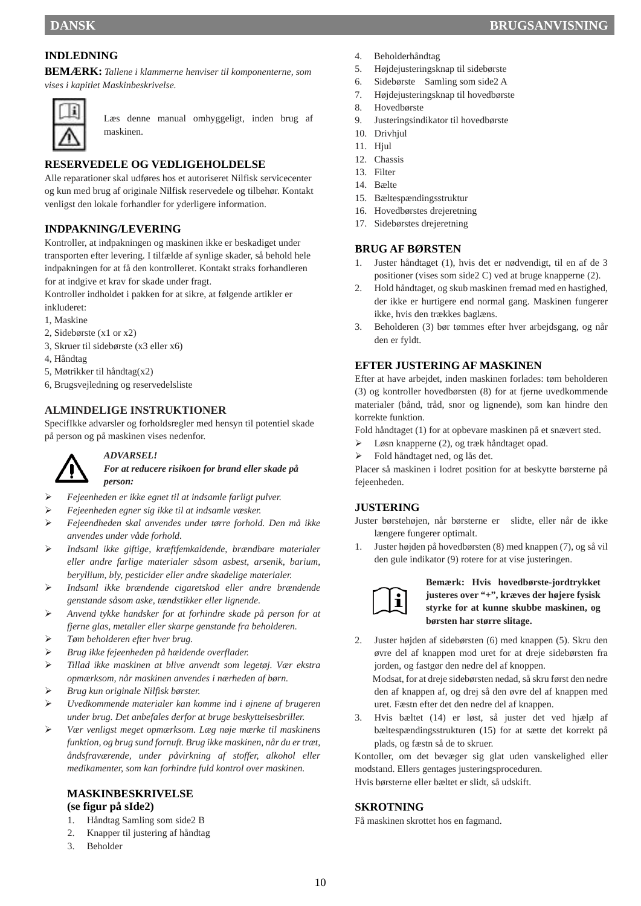## **INDLEDNING**

**BEMÆRK:** *Tallene i klammerne henviser til komponenterne, som vises i kapitlet Maskinbeskrivelse.* 



Læs denne manual omhyggeligt, inden brug af maskinen.

## **RESERVEDELE OG VEDLIGEHOLDELSE**

Alle reparationer skal udføres hos et autoriseret Nilfisk servicecenter og kun med brug af originale Nilfisk reservedele og tilbehør. Kontakt venligst den lokale forhandler for yderligere information.

## **INDPAKNING/LEVERING**

Kontroller, at indpakningen og maskinen ikke er beskadiget under transporten efter levering. I tilfælde af synlige skader, så behold hele indpakningen for at få den kontrolleret. Kontakt straks forhandleren for at indgive et krav for skade under fragt.

Kontroller indholdet i pakken for at sikre, at følgende artikler er inkluderet:

- 1, Maskine
- 2, Sidebørste (x1 or x2)
- 3, Skruer til sidebørste (x3 eller x6)
- 4, Håndtag
- 5, Møtrikker til håndtag(x2)
- 6, Brugsvejledning og reservedelsliste

#### **ALMINDELIGE INSTRUKTIONER**

SpecifIkke advarsler og forholdsregler med hensyn til potentiel skade på person og på maskinen vises nedenfor.



#### *ADVARSEL!*

*For at reducere risikoen for brand eller skade på person:* 

- *Fejeenheden er ikke egnet til at indsamle farligt pulver.*
- *Fejeenheden egner sig ikke til at indsamle væsker.*
- *Fejeendheden skal anvendes under tørre forhold. Den må ikke anvendes under våde forhold.*
- *Indsaml ikke giftige, kræftfemkaldende, brændbare materialer eller andre farlige materialer såsom asbest, arsenik, barium, beryllium, bly, pesticider eller andre skadelige materialer.*
- *Indsaml ikke brændende cigaretskod eller andre brændende genstande såsom aske, tændstikker eller lignende.*
- *Anvend tykke handsker for at forhindre skade på person for at fjerne glas, metaller eller skarpe genstande fra beholderen.*
- *Tøm beholderen efter hver brug.*
- *Brug ikke fejeenheden på hældende overflader.*
- *Tillad ikke maskinen at blive anvendt som legetøj. Vær ekstra opmærksom, når maskinen anvendes i nærheden af børn.*
- *Brug kun originale Nilfisk børster.*
- *Uvedkommende materialer kan komme ind i øjnene af brugeren under brug. Det anbefales derfor at bruge beskyttelsesbriller.*
- *Vær venligst meget opmærksom. Læg nøje mærke til maskinens funktion, og brug sund fornuft. Brug ikke maskinen, når du er træt, åndsfraværende, under påvirkning af stoffer, alkohol eller medikamenter, som kan forhindre fuld kontrol over maskinen.*

#### **MASKINBESKRIVELSE (se figur på sIde2)**

- 
- 1. Håndtag Samling som side2 B 2. Knapper til justering af håndtag
- 3. Beholder
- 4. Beholderhåndtag
- 5. Højdejusteringsknap til sidebørste
- 6. Sidebørste Samling som side2 A
- 7. Højdejusteringsknap til hovedbørste
- 8. Hovedbørste
- 9. Justeringsindikator til hovedbørste
- 10. Drivhiul
- 11. Hjul
- 12. Chassis
- 13. Filter
- 14. Bælte
- 15. Bæltespændingsstruktur
- 16. Hovedbørstes drejeretning
- 17. Sidebørstes drejeretning

#### **BRUG AF BØRSTEN**

- 1. Juster håndtaget (1), hvis det er nødvendigt, til en af de 3 positioner (vises som side2 C) ved at bruge knapperne (2).
- 2. Hold håndtaget, og skub maskinen fremad med en hastighed, der ikke er hurtigere end normal gang. Maskinen fungerer ikke, hvis den trækkes baglæns.
- 3. Beholderen (3) bør tømmes efter hver arbejdsgang, og når den er fyldt.

#### **EFTER JUSTERING AF MASKINEN**

Efter at have arbejdet, inden maskinen forlades: tøm beholderen (3) og kontroller hovedbørsten (8) for at fjerne uvedkommende materialer (bånd, tråd, snor og lignende), som kan hindre den korrekte funktion.

Fold håndtaget (1) for at opbevare maskinen på et snævert sted.

- Løsn knapperne (2), og træk håndtaget opad.
- Fold håndtaget ned, og lås det.

Placer så maskinen i lodret position for at beskytte børsterne på fejeenheden.

#### **JUSTERING**

Juster børstehøjen, når børsterne er slidte, eller når de ikke længere fungerer optimalt.

1. Juster højden på hovedbørsten (8) med knappen (7), og så vil den gule indikator (9) rotere for at vise justeringen.



#### **Bemærk: Hvis hovedbørste-jordtrykket justeres over "+", kræves der højere fysisk styrke for at kunne skubbe maskinen, og børsten har større slitage.**

2. Juster højden af sidebørsten (6) med knappen (5). Skru den øvre del af knappen mod uret for at dreje sidebørsten fra jorden, og fastgør den nedre del af knoppen.

Modsat, for at dreje sidebørsten nedad, så skru først den nedre den af knappen af, og drej så den øvre del af knappen med uret. Fæstn efter det den nedre del af knappen.

3. Hvis bæltet (14) er løst, så juster det ved hjælp af bæltespændingsstrukturen (15) for at sætte det korrekt på plads, og fæstn så de to skruer.

Kontoller, om det bevæger sig glat uden vanskelighed eller modstand. Ellers gentages justeringsproceduren.

Hvis børsterne eller bæltet er slidt, så udskift.

### **SKROTNING**

Få maskinen skrottet hos en fagmand.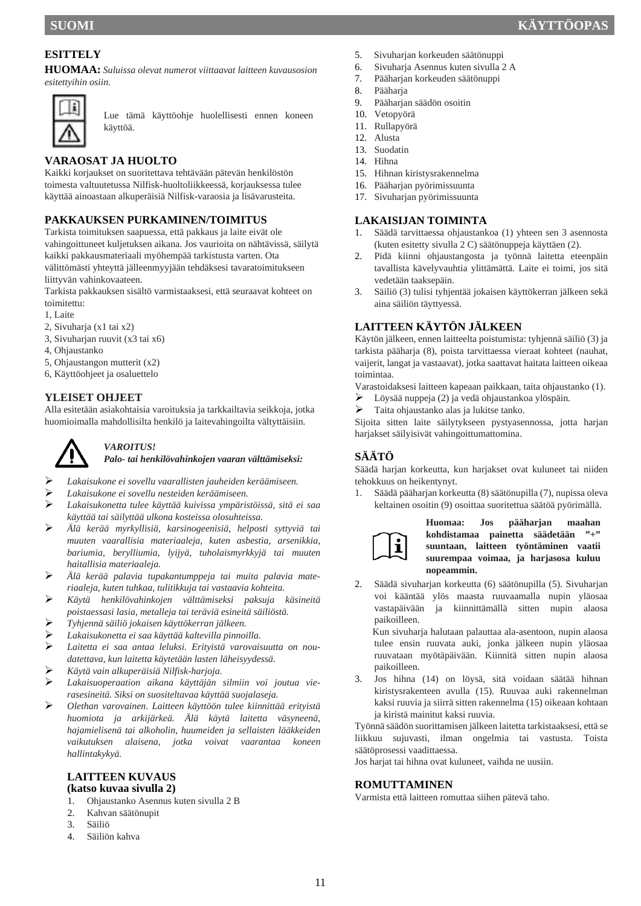## **ESITTELY**

**HUOMAA:** *Suluissa olevat numerot viittaavat laitteen kuvausosion esitettyihin osiin.* 



Lue tämä käyttöohje huolellisesti ennen koneen käyttöä.

## **VARAOSAT JA HUOLTO**

Kaikki korjaukset on suoritettava tehtävään pätevän henkilöstön toimesta valtuutetussa Nilfisk-huoltoliikkeessä, korjauksessa tulee käyttää ainoastaan alkuperäisiä Nilfisk-varaosia ja lisävarusteita.

## **PAKKAUKSEN PURKAMINEN/TOIMITUS**

Tarkista toimituksen saapuessa, että pakkaus ja laite eivät ole vahingoittuneet kuljetuksen aikana. Jos vaurioita on nähtävissä, säilytä kaikki pakkausmateriaali myöhempää tarkistusta varten. Ota välittömästi yhteyttä jälleenmyyjään tehdäksesi tavaratoimitukseen liittyvän vahinkovaateen.

Tarkista pakkauksen sisältö varmistaaksesi, että seuraavat kohteet on toimitettu:

- 1, Laite
- 2, Sivuharja (x1 tai x2)
- 3, Sivuharjan ruuvit (x3 tai x6)
- 4, Ohjaustanko
- 5, Ohjaustangon mutterit (x2)
- 6, Käyttöohjeet ja osaluettelo

#### **YLEISET OHJEET**

Alla esitetään asiakohtaisia varoituksia ja tarkkailtavia seikkoja, jotka huomioimalla mahdollisilta henkilö ja laitevahingoilta vältyttäisiin.



#### *VAROITUS! Palo- tai henkilövahinkojen vaaran välttämiseksi:*

- *Lakaisukone ei sovellu vaarallisten jauheiden keräämiseen.*
- *Lakaisukone ei sovellu nesteiden keräämiseen.*
- *Lakaisukonetta tulee käyttää kuivissa ympäristöissä, sitä ei saa käyttää tai säilyttää ulkona kosteissa olosuhteissa.*
- *Älä kerää myrkyllisiä, karsinogeenisiä, helposti syttyviä tai muuten vaarallisia materiaaleja, kuten asbestia, arsenikkia, bariumia, berylliumia, lyijyä, tuholaismyrkkyjä tai muuten haitallisia materiaaleja.*
- *Älä kerää palavia tupakantumppeja tai muita palavia materiaaleja, kuten tuhkaa, tulitikkuja tai vastaavia kohteita.*
- *Käytä henkilövahinkojen välttämiseksi paksuja käsineitä poistaessasi lasia, metalleja tai teräviä esineitä säiliöstä.*
- *Tyhjennä säiliö jokaisen käyttökerran jälkeen.*
- *Lakaisukonetta ei saa käyttää kaltevilla pinnoilla.*
- *Laitetta ei saa antaa leluksi. Erityistä varovaisuutta on noudatettava, kun laitetta käytetään lasten läheisyydessä.*
- *Käytä vain alkuperäisiä Nilfisk-harjoja.*
- *Lakaisuoperaation aikana käyttäjän silmiin voi joutua vierasesineitä. Siksi on suositeltavaa käyttää suojalaseja.*
- *Olethan varovainen. Laitteen käyttöön tulee kiinnittää erityistä huomiota ja arkijärkeä. Älä käytä laitetta väsyneenä, hajamielisenä tai alkoholin, huumeiden ja sellaisten lääkkeiden vaikutuksen alaisena, jotka voivat vaarantaa koneen hallintakykyä.*

#### **LAITTEEN KUVAUS (katso kuvaa sivulla 2)**

- 1. Ohjaustanko Asennus kuten sivulla 2 B
- 2. Kahvan säätönupit
- 3. Säiliö
- 4. Säiliön kahva
- 5. Sivuharjan korkeuden säätönuppi
- 6. Sivuharja Asennus kuten sivulla 2 A
- 7. Pääharjan korkeuden säätönuppi
- 8. Pääharja
- 9. Pääharjan säädön osoitin
- 10. Vetopyörä
- 11. Rullapyörä
- 12. Alusta 13. Suodatin
- 14. Hihna
- 
- 15. Hihnan kiristysrakennelma 16. Pääharjan pyörimissuunta
- 17. Sivuharian pyörimissuunta

#### **LAKAISIJAN TOIMINTA**

- 1. Säädä tarvittaessa ohjaustankoa (1) yhteen sen 3 asennosta (kuten esitetty sivulla 2 C) säätönuppeja käyttäen (2).
- 2. Pidä kiinni ohjaustangosta ja työnnä laitetta eteenpäin tavallista kävelyvauhtia ylittämättä. Laite ei toimi, jos sitä vedetään taaksepäin.
- 3. Säiliö (3) tulisi tyhjentää jokaisen käyttökerran jälkeen sekä aina säiliön täyttyessä.

#### **LAITTEEN KÄYTÖN JÄLKEEN**

Käytön jälkeen, ennen laitteelta poistumista: tyhjennä säiliö (3) ja tarkista pääharja (8), poista tarvittaessa vieraat kohteet (nauhat, vaijerit, langat ja vastaavat), jotka saattavat haitata laitteen oikeaa toimintaa.

Varastoidaksesi laitteen kapeaan paikkaan, taita ohjaustanko (1).

- Löysää nuppeja (2) ja vedä ohjaustankoa ylöspäin.
- Taita ohjaustanko alas ja lukitse tanko.

Sijoita sitten laite säilytykseen pystyasennossa, jotta harjan harjakset säilyisivät vahingoittumattomina.

## **SÄÄTÖ**

Säädä harjan korkeutta, kun harjakset ovat kuluneet tai niiden tehokkuus on heikentynyt.

1. Säädä pääharjan korkeutta (8) säätönupilla (7), nupissa oleva keltainen osoitin (9) osoittaa suoritettua säätöä pyörimällä.



**Huomaa: Jos pääharjan maahan kohdistamaa painetta säädetään "+" suuntaan, laitteen työntäminen vaatii suurempaa voimaa, ja harjasosa kuluu nopeammin.**

2. Säädä sivuharjan korkeutta (6) säätönupilla (5). Sivuharjan voi kääntää ylös maasta ruuvaamalla nupin yläosaa vastapäivään ja kiinnittämällä sitten nupin alaosa paikoilleen.

Kun sivuharja halutaan palauttaa ala-asentoon, nupin alaosa tulee ensin ruuvata auki, jonka jälkeen nupin yläosaa ruuvataan myötäpäivään. Kiinnitä sitten nupin alaosa paikoilleen.

3. Jos hihna (14) on löysä, sitä voidaan säätää hihnan kiristysrakenteen avulla (15). Ruuvaa auki rakennelman kaksi ruuvia ja siirrä sitten rakennelma (15) oikeaan kohtaan ja kiristä mainitut kaksi ruuvia.

Työnnä säädön suorittamisen jälkeen laitetta tarkistaaksesi, että se liikkuu sujuvasti, ilman ongelmia tai vastusta. Toista säätöprosessi vaadittaessa.

Jos harjat tai hihna ovat kuluneet, vaihda ne uusiin.

#### **ROMUTTAMINEN**

Varmista että laitteen romuttaa siihen pätevä taho.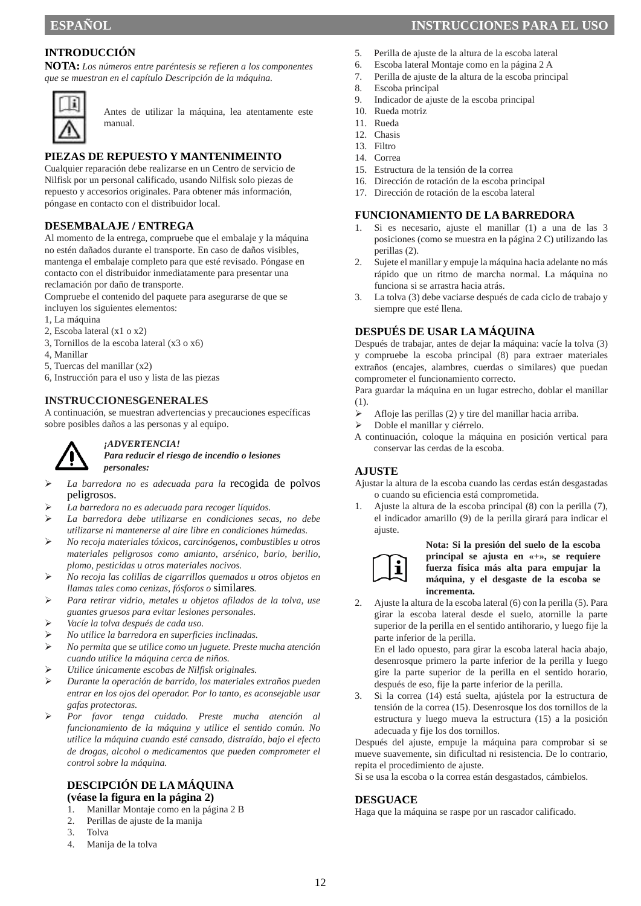## **INTRODUCCIÓN**

**NOTA:** *Los números entre paréntesis se refieren a los componentes que se muestran en el capítulo Descripción de la máquina.* 



Antes de utilizar la máquina, lea atentamente este manual.

#### **PIEZAS DE REPUESTO Y MANTENIMEINTO**

Cualquier reparación debe realizarse en un Centro de servicio de Nilfisk por un personal calificado, usando Nilfisk solo piezas de repuesto y accesorios originales. Para obtener más información, póngase en contacto con el distribuidor local.

#### **DESEMBALAJE / ENTREGA**

Al momento de la entrega, compruebe que el embalaje y la máquina no estén dañados durante el transporte. En caso de daños visibles, mantenga el embalaje completo para que esté revisado. Póngase en contacto con el distribuidor inmediatamente para presentar una reclamación por daño de transporte.

Compruebe el contenido del paquete para asegurarse de que se incluyen los siguientes elementos:

- 1, La máquina
- 2, Escoba lateral (x1 o x2)
- 3, Tornillos de la escoba lateral (x3 o x6)
- 4, Manillar
- 5, Tuercas del manillar (x2)
- 6, Instrucción para el uso y lista de las piezas

#### **INSTRUCCIONESGENERALES**

A continuación, se muestran advertencias y precauciones específicas sobre posibles daños a las personas y al equipo.



#### *¡ADVERTENCIA! Para reducir el riesgo de incendio o lesiones*

*personales:* 

- *La barredora no es adecuada para la* recogida de polvos peligrosos.
- *La barredora no es adecuada para recoger líquidos.*
- *La barredora debe utilizarse en condiciones secas, no debe utilizarse ni mantenerse al aire libre en condiciones húmedas.*
- *No recoja materiales tóxicos, carcinógenos, combustibles u otros materiales peligrosos como amianto, arsénico, bario, berilio, plomo, pesticidas u otros materiales nocivos.*
- *No recoja las colillas de cigarrillos quemados u otros objetos en llamas tales como cenizas, fósforos o* similares*.*
- *Para retirar vidrio, metales u objetos afilados de la tolva, use guantes gruesos para evitar lesiones personales.*
- *Vacíe la tolva después de cada uso.*
- *No utilice la barredora en superficies inclinadas.*
- *No permita que se utilice como un juguete. Preste mucha atención cuando utilice la máquina cerca de niños.*
- *Utilice únicamente escobas de Nilfisk originales.*
- *Durante la operación de barrido, los materiales extraños pueden entrar en los ojos del operador. Por lo tanto, es aconsejable usar gafas protectoras.*
- *Por favor tenga cuidado. Preste mucha atención al funcionamiento de la máquina y utilice el sentido común. No utilice la máquina cuando esté cansado, distraído, bajo el efecto de drogas, alcohol o medicamentos que pueden comprometer el control sobre la máquina.*

## **DESCIPCIÓN DE LA MÁQUINA**

#### **(véase la figura en la página 2)**

- 1. Manillar Montaje como en la página 2 B
- 2. Perillas de ajuste de la manija
- 3. Tolva
- 4. Manija de la tolva

## **ESPAÑOL ESPAÑOL ESPAÑOL EN EL USO EN EL USO EN EL USO EN EL USO EN EL USO EN EL USO EN EL USO EN EL USO EN EL USO**

- 5. Perilla de ajuste de la altura de la escoba lateral
- 6. Escoba lateral Montaje como en la página 2 A
- 7. Perilla de ajuste de la altura de la escoba principal
- 8. Escoba principal
- 9. Indicador de ajuste de la escoba principal
- 10. Rueda motriz
- 11. Rueda
- 12. Chasis
- 13. Filtro
- 14. Correa
- 15. Estructura de la tensión de la correa
- 16. Dirección de rotación de la escoba principal
- 17. Dirección de rotación de la escoba lateral

## **FUNCIONAMIENTO DE LA BARREDORA**

- 1. Si es necesario, ajuste el manillar (1) a una de las 3 posiciones (como se muestra en la página 2 C) utilizando las perillas (2).
- 2. Sujete el manillar y empuje la máquina hacia adelante no más rápido que un ritmo de marcha normal. La máquina no funciona si se arrastra hacia atrás.
- 3. La tolva (3) debe vaciarse después de cada ciclo de trabajo y siempre que esté llena.

#### **DESPUÉS DE USAR LA MÁQUINA**

Después de trabajar, antes de dejar la máquina: vacíe la tolva (3) y compruebe la escoba principal (8) para extraer materiales extraños (encajes, alambres, cuerdas o similares) que puedan comprometer el funcionamiento correcto.

Para guardar la máquina en un lugar estrecho, doblar el manillar (1).

- $\triangleright$  Afloje las perillas (2) y tire del manillar hacia arriba.
- Doble el manillar y ciérrelo.
- A continuación, coloque la máquina en posición vertical para conservar las cerdas de la escoba.

#### **AJUSTE**

Ajustar la altura de la escoba cuando las cerdas están desgastadas o cuando su eficiencia está comprometida.

1. Ajuste la altura de la escoba principal (8) con la perilla (7), el indicador amarillo (9) de la perilla girará para indicar el ajuste.



**Nota: Si la presión del suelo de la escoba principal se ajusta en «+», se requiere fuerza física más alta para empujar la máquina, y el desgaste de la escoba se incrementa.**

2. Ajuste la altura de la escoba lateral (6) con la perilla (5). Para girar la escoba lateral desde el suelo, atornille la parte superior de la perilla en el sentido antihorario, y luego fije la parte inferior de la perilla.

En el lado opuesto, para girar la escoba lateral hacia abajo, desenrosque primero la parte inferior de la perilla y luego gire la parte superior de la perilla en el sentido horario, después de eso, fije la parte inferior de la perilla.

3. Si la correa (14) está suelta, ajústela por la estructura de tensión de la correa (15). Desenrosque los dos tornillos de la estructura y luego mueva la estructura (15) a la posición adecuada y fije los dos tornillos.

Después del ajuste, empuje la máquina para comprobar si se mueve suavemente, sin dificultad ni resistencia. De lo contrario, repita el procedimiento de ajuste.

Si se usa la escoba o la correa están desgastados, cámbielos.

#### **DESGUACE**

Haga que la máquina se raspe por un rascador calificado.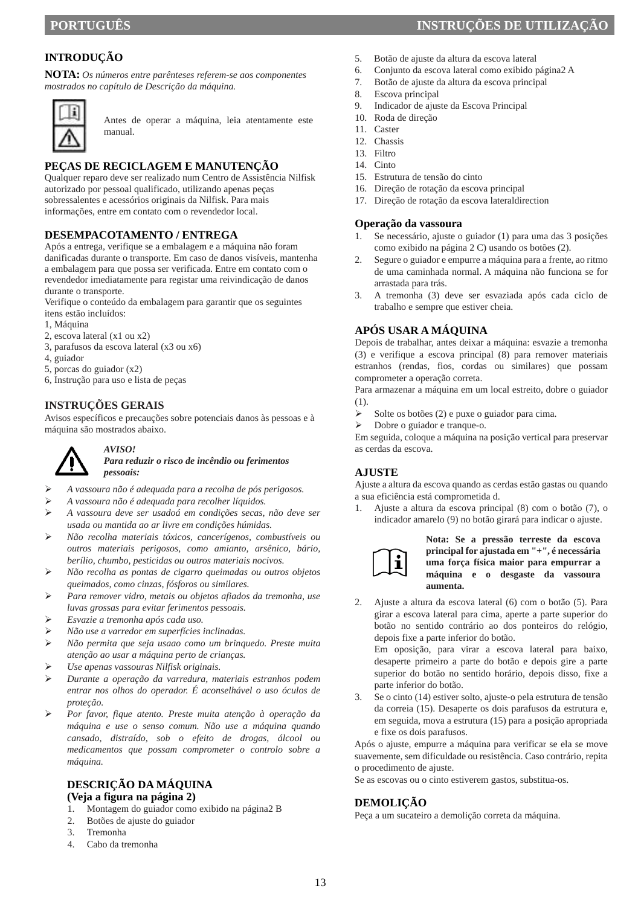## **INTRODUÇÃO**

**NOTA:** *Os números entre parênteses referem-se aos componentes mostrados no capítulo de Descrição da máquina.* 



Antes de operar a máquina, leia atentamente este manual.

#### **PEÇAS DE RECICLAGEM E MANUTENÇÃO**

Qualquer reparo deve ser realizado num Centro de Assistência Nilfisk autorizado por pessoal qualificado, utilizando apenas peças sobressalentes e acessórios originais da Nilfisk. Para mais informações, entre em contato com o revendedor local.

#### **DESEMPACOTAMENTO / ENTREGA**

Após a entrega, verifique se a embalagem e a máquina não foram danificadas durante o transporte. Em caso de danos visíveis, mantenha a embalagem para que possa ser verificada. Entre em contato com o revendedor imediatamente para registar uma reivindicação de danos durante o transporte.

Verifique o conteúdo da embalagem para garantir que os seguintes itens estão incluídos:

- 1, Máquina
- 2, escova lateral (x1 ou x2)
- 3, parafusos da escova lateral (x3 ou x6)
- 4, guiador
- 5, porcas do guiador (x2)
- 6, Instrução para uso e lista de peças

*pessoais:* 

#### **INSTRUÇÕES GERAIS**

Avisos específicos e precauções sobre potenciais danos às pessoas e à máquina são mostrados abaixo.



#### *AVISO! Para reduzir o risco de incêndio ou ferimentos*

*A vassoura não é adequada para a recolha de pós perigosos.* 

- *A vassoura não é adequada para recolher líquidos.*
- *A vassoura deve ser usadoá em condições secas, não deve ser usada ou mantida ao ar livre em condições húmidas.*
- *Não recolha materiais tóxicos, cancerígenos, combustíveis ou outros materiais perigosos, como amianto, arsênico, bário, berílio, chumbo, pesticidas ou outros materiais nocivos.*
- *Não recolha as pontas de cigarro queimadas ou outros objetos queimados, como cinzas, fósforos ou similares.*
- *Para remover vidro, metais ou objetos afiados da tremonha, use luvas grossas para evitar ferimentos pessoais.*
- *Esvazie a tremonha após cada uso.*
- *Não use a varredor em superfícies inclinadas.*
- *Não permita que seja usaao como um brinquedo. Preste muita atenção ao usar a máquina perto de crianças.*
- *Use apenas vassouras Nilfisk originais.*
- *Durante a operação da varredura, materiais estranhos podem entrar nos olhos do operador. É aconselhável o uso óculos de proteção.*
- *Por favor, fique atento. Preste muita atenção à operação da máquina e use o senso comum. Não use a máquina quando cansado, distraído, sob o efeito de drogas, álcool ou medicamentos que possam comprometer o controlo sobre a máquina.*

## **DESCRIÇÃO DA MÁQUINA**

#### **(Veja a figura na página 2)**

- 1. Montagem do guiador como exibido na página2 B
- 2. Botões de ajuste do guiador
- 3. Tremonha
- 4. Cabo da tremonha

## **PORTUGUÊS INSTRUÇÕES DE UTILIZAÇÃO**

- 5. Botão de ajuste da altura da escova lateral
- 6. Conjunto da escova lateral como exibido página2 A
- 7. Botão de ajuste da altura da escova principal
- 8. Escova principal
- 9. Indicador de ajuste da Escova Principal
- 10. Roda de direção
- 11. Caster
- 12. Chassis
- 13. Filtro
- 14. Cinto
- 15. Estrutura de tensão do cinto
- 16. Direção de rotação da escova principal
- 17. Direção de rotação da escova lateraldirection

#### **Operação da vassoura**

- 1. Se necessário, ajuste o guiador (1) para uma das 3 posições como exibido na página 2 C) usando os botões (2).
- 2. Segure o guiador e empurre a máquina para a frente, ao ritmo de uma caminhada normal. A máquina não funciona se for arrastada para trás.
- 3. A tremonha (3) deve ser esvaziada após cada ciclo de trabalho e sempre que estiver cheia.

#### **APÓS USAR A MÁQUINA**

Depois de trabalhar, antes deixar a máquina: esvazie a tremonha (3) e verifique a escova principal (8) para remover materiais estranhos (rendas, fios, cordas ou similares) que possam comprometer a operação correta.

Para armazenar a máquina em um local estreito, dobre o guiador (1).

- Solte os botões (2) e puxe o guiador para cima.
- > Dobre o guiador e tranque-o.

Em seguida, coloque a máquina na posição vertical para preservar as cerdas da escova.

#### **AJUSTE**

Ajuste a altura da escova quando as cerdas estão gastas ou quando a sua eficiência está comprometida d.

1. Ajuste a altura da escova principal (8) com o botão (7), o indicador amarelo (9) no botão girará para indicar o ajuste.



#### **Nota: Se a pressão terreste da escova principal for ajustada em "+", é necessária uma força física maior para empurrar a máquina e o desgaste da vassoura aumenta.**

2. Ajuste a altura da escova lateral (6) com o botão (5). Para girar a escova lateral para cima, aperte a parte superior do botão no sentido contrário ao dos ponteiros do relógio, depois fixe a parte inferior do botão.

Em oposição, para virar a escova lateral para baixo, desaperte primeiro a parte do botão e depois gire a parte superior do botão no sentido horário, depois disso, fixe a parte inferior do botão.

3. Se o cinto (14) estiver solto, ajuste-o pela estrutura de tensão da correia (15). Desaperte os dois parafusos da estrutura e, em seguida, mova a estrutura (15) para a posição apropriada e fixe os dois parafusos.

Após o ajuste, empurre a máquina para verificar se ela se move suavemente, sem dificuldade ou resistência. Caso contrário, repita o procedimento de ajuste.

Se as escovas ou o cinto estiverem gastos, substitua-os.

#### **DEMOLIÇÃO**

Peça a um sucateiro a demolição correta da máquina.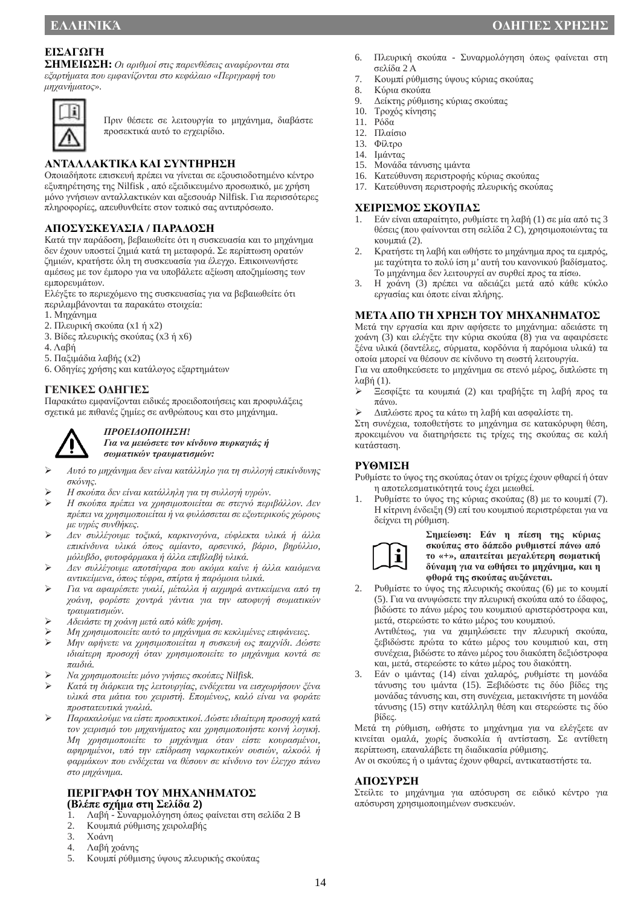## **ΕΙΣΑΓΩΓH**

**ΣΗΜΕΙΩΣΗ:** *Οι αριθμοί στις παρενθέσεις αναφέρονται στα εξαρτήματα που εμφανίζονται στο κεφάλαιο «Περιγραφή του μηχανήματος».* 



Πριν θέσετε σε λειτουργία το μηχάνημα, διαβάστε προσεκτικά αυτό το εγχειρίδιο.

## **ΑΝΤΑΛΛΑΚΤΙΚΑ ΚΑΙ ΣΥΝΤΗΡΗΣΗ**

Οποιαδήποτε επισκευή πρέπει να γίνεται σε εξουσιοδοτημένο κέντρο εξυπηρέτησης της Nilfisk , από εξειδικευμένο προσωπικό, με χρήση μόνο γνήσιων ανταλλακτικών και αξεσουάρ Nilfisk. Για περισσότερες πληροφορίες, απευθυνθείτε στον τοπικό σας αντιπρόσωπο.

## **ΑΠΟΣΥΣΚΕΥΑΣΙΑ / ΠΑΡΑΔΟΣΗ**

Κατά την παράδοση, βεβαιωθείτε ότι η συσκευασία και το μηχάνημα δεν έχουν υποστεί ζημιά κατά τη μεταφορά. Σε περίπτωση ορατών ζημιών, κρατήστε όλη τη συσκευασία για έλεγχο. Επικοινωνήστε αμέσως με τον έμπορο για να υποβάλετε αξίωση αποζημίωσης των εμπορευμάτων.

Ελέγξτε το περιεχόμενο της συσκευασίας για να βεβαιωθείτε ότι περιλαμβάνονται τα παρακάτω στοιχεία:

- 1. Μηχάνημα
- 2. Πλευρική σκούπα (x1 ή x2)
- 3. Βίδες πλευρικής σκούπας (x3 ή x6)
- 4. Λαβή
- 5. Παξιμάδια λαβής (x2)
- 6. Οδηγίες χρήσης και κατάλογος εξαρτημάτων

#### **ΓΕΝΙΚΕΣ ΟΔΗΓΙΕΣ**

Παρακάτω εμφανίζονται ειδικές προειδοποιήσεις και προφυλάξεις σχετικά με πιθανές ζημίες σε ανθρώπους και στο μηχάνημα.



## *ΠΡΟΕΙΔΟΠΟΙΗΣΗ!*

*Για να μειώσετε τον κίνδυνο πυρκαγιάς ή σωματικών τραυματισμών:* 

- *Αυτό το μηχάνημα δεν είναι κατάλληλο για τη συλλογή επικίνδυνης σκόνης.*
- *Η σκούπα δεν είναι κατάλληλη για τη συλλογή υγρών.*
- *Η σκούπα πρέπει να χρησιμοποιείται σε στεγνό περιβάλλον. Δεν πρέπει να χρησιμοποιείται ή να φυλάσσεται σε εξωτερικούς χώρους με υγρές συνθήκες.*
- *Δεν συλλέγουμε τοξικά, καρκινογόνα, εύφλεκτα υλικά ή άλλα επικίνδυνα υλικά όπως αμίαντο, αρσενικό, βάριο, βηρύλλιο, μόλυβδο, φυτοφάρμακα ή άλλα επιβλαβή υλικά.*
- *Δεν συλλέγουμε αποτσίγαρα που ακόμα καίνε ή άλλα καιόμενα αντικείμενα, όπως τέφρα, σπίρτα ή παρόμοια υλικά.*
- *Για να αφαιρέσετε γυαλί, μέταλλα ή αιχμηρά αντικείμενα από τη χοάνη, φορέστε χοντρά γάντια για την αποφυγή σωματικών τραυματισμών.*
- *Αδειάστε τη χοάνη μετά από κάθε χρήση.*
- *Μη χρησιμοποιείτε αυτό το μηχάνημα σε κεκλιμένες επιφάνειες.*
- *Μην αφήνετε να χρησιμοποιείται η συσκευή ως παιχνίδι. Δώστε ιδιαίτερη προσοχή όταν χρησιμοποιείτε το μηχάνημα κοντά σε παιδιά.*
- *Να χρησιμοποιείτε μόνο γνήσιες σκούπες Nilfisk.*
- *Κατά τη διάρκεια της λειτουργίας, ενδέχεται να εισχωρήσουν ξένα υλικά στα μάτια του χειριστή. Επομένως, καλό είναι να φοράτε προστατευτικά γυαλιά.*
- *Παρακαλούμε να είστε προσεκτικοί. Δώστειδιαίτερη προσοχή κατά τον χειρισμό του μηχανήματος και χρησιμοποιήστε κοινή λογική. Μη χρησιμοποιείτε το μηχάνημα όταν είστε κουρασμένοι, αφηρημένοι, υπό την επίδραση ναρκωτικών ουσιών, αλκοόλ ή φαρμάκων που ενδέχεται να θέσουν σε κίνδυνο τον έλεγχο πάνω στο μηχάνημα.*

# **ΠΕΡΙΓΡΑΦΗ ΤΟΥ ΜΗΧΑΝΗΜΑΤΟΣ (Βλέπε σχήμα στη Σελίδα 2)**

- 1. Λαβή Συναρμολόγηση όπως φαίνεται στη σελίδα 2 Β
- 2. Κουμπιά ρύθμισης χειρολαβής
- 3. Χοάνη
- 4. Λαβή χοάνης
- 5. Κουμπί ρύθμισης ύψους πλευρικής σκούπας
- **ΕΛΛΗΝΙΚΆ ΟΔΗΓΙΕΣ ΧΡΗΣΗΣ**
	- 6. Πλευρική σκούπα Συναρμολόγηση όπως φαίνεται στη σελίδα 2 Α
	- 7. Κουμπί ρύθμισης ύψους κύριας σκούπας
	- 8. Κύρια σκούπα<br>9. Δείκτης ούθιμα
	- 9. Δείκτης ρύθμισης κύριας σκούπας
	- 10. Τροχός κίνησης
	- 11. Ρόδα
	- 12. Πλαίσιο
	- 13. Φίλτρο
	- 14. Ιμάντας
	- 15. Μονάδα τάνυσης ιμάντα
	- 16. Κατεύθυνση περιστροφής κύριας σκούπας 17. Κατεύθυνση περιστροφής πλευρικής σκούπας

#### **ΧΕΙΡΙΣΜΟΣ ΣΚΟΥΠΑΣ**

- 1. Εάν είναι απαραίτητο, ρυθμίστε τη λαβή (1) σε μία από τις 3 θέσεις (που φαίνονται στη σελίδα 2 C), χρησιμοποιώντας τα κουμπιά (2).
- 2. Κρατήστε τη λαβή και ωθήστε το μηχάνημα προς τα εμπρός, με ταχύτητα το πολύ ίση μ' αυτή του κανονικού βαδίσματος. Το μηχάνημα δεν λειτουργεί αν συρθεί προς τα πίσω.
- 3. Η χοάνη (3) πρέπει να αδειάζει μετά από κάθε κύκλο εργασίας και όποτε είναι πλήρης.

#### **ΜΕΤΑΑΠΟ ΤΗ ΧΡΗΣΗ ΤΟΥ ΜΗΧΑΝΗΜΑΤΟΣ**

Μετά την εργασία και πριν αφήσετε το μηχάνημα: αδειάστε τη χοάνη (3) και ελέγξτε την κύρια σκούπα (8) για να αφαιρέσετε ξένα υλικά (δαντέλες, σύρματα, κορδόνια ή παρόμοια υλικά) τα οποία μπορεί να θέσουν σε κίνδυνο τη σωστή λειτουργία.

Για να αποθηκεύσετε το μηχάνημα σε στενό μέρος, διπλώστε τη λαβή (1).

- Ξεσφίξτε τα κουμπιά (2) και τραβήξτε τη λαβή προς τα πάνω.
- Διπλώστε προς τα κάτω τη λαβή και ασφαλίστε τη.

Στη συνέχεια, τοποθετήστε το μηχάνημα σε κατακόρυφη θέση, προκειμένου να διατηρήσετε τις τρίχες της σκούπας σε καλή κατάσταση.

#### **ΡΥΘΜΙΣΗ**

Ρυθμίστε το ύψος της σκούπας όταν οι τρίχες έχουν φθαρεί ή όταν η αποτελεσματικότητά τους έχει μειωθεί.

1. Ρυθμίστε το ύψος της κύριας σκούπας (8) με το κουμπί (7). Η κίτρινη ένδειξη (9) επί του κουμπιού περιστρέφεται για να δείχνει τη ρύθμιση.



**Σημείωση: Εάν η πίεση της κύριας σκούπας στο δάπεδο ρυθμιστεί πάνω από το «+», απαιτείται μεγαλύτερη σωματική δύναμη για να ωθήσει το μηχάνημα, και η φθορά της σκούπας αυξάνεται.**

2. Ρυθμίστε το ύψος της πλευρικής σκούπας (6) με το κουμπί (5). Για να ανυψώσετε την πλευρική σκούπα από το έδαφος, βιδώστε το πάνω μέρος του κουμπιού αριστερόστροφα και, μετά, στερεώστε το κάτω μέρος του κουμπιού.

Αντιθέτως, για να χαμηλώσετε την πλευρική σκούπα, ξεβιδώστε πρώτα το κάτω μέρος του κουμπιού και, στη συνέχεια, βιδώστε το πάνω μέρος του διακόπτη δεξιόστροφα και, μετά, στερεώστε το κάτω μέρος του διακόπτη.

3. Εάν ο ιμάντας (14) είναι χαλαρός, ρυθμίστε τη μονάδα τάνυσης του ιμάντα (15). Ξεβιδώστε τις δύο βίδες της μονάδας τάνυσης και, στη συνέχεια, μετακινήστε τη μονάδα τάνυσης (15) στην κατάλληλη θέση και στερεώστε τις δύο βίδες.

Μετά τη ρύθμιση, ωθήστε το μηχάνημα για να ελέγξετε αν κινείται ομαλά, χωρίς δυσκολία ή αντίσταση. Σε αντίθετη περίπτωση, επαναλάβετε τη διαδικασία ρύθμισης.

Αν οι σκούπες ή ο ιμάντας έχουν φθαρεί, αντικαταστήστε τα.

#### **ΑΠΟΣΥΡΣΗ**

Στείλτε το μηχάνημα για απόσυρση σε ειδικό κέντρο για απόσυρση χρησιμοποιημένων συσκευών.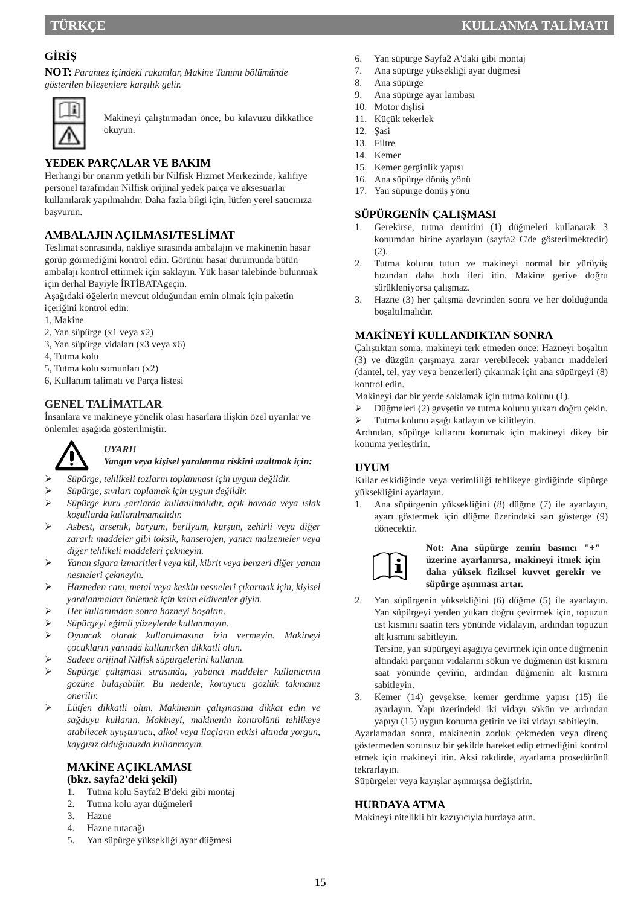## **GİRİŞ**

**NOT:** *Parantez içindeki rakamlar, Makine Tanımı bölümünde gösterilen bileşenlere karşılık gelir.* 



Makineyi çalıştırmadan önce, bu kılavuzu dikkatlice okuyun.

## **YEDEK PARÇALAR VE BAKIM**

Herhangi bir onarım yetkili bir Nilfisk Hizmet Merkezinde, kalifiye personel tarafından Nilfisk orijinal yedek parça ve aksesuarlar kullanılarak yapılmalıdır. Daha fazla bilgi için, lütfen yerel satıcınıza başvurun.

## **AMBALAJIN AÇILMASI/TESLİMAT**

Teslimat sonrasında, nakliye sırasında ambalajın ve makinenin hasar görüp görmediğini kontrol edin. Görünür hasar durumunda bütün ambalajı kontrol ettirmek için saklayın. Yük hasar talebinde bulunmak için derhal Bayiyle İRTİBATAgeçin.

Aşağıdaki öğelerin mevcut olduğundan emin olmak için paketin içeriğini kontrol edin:

- 1, Makine
- 2, Yan süpürge (x1 veya x2)
- 3, Yan süpürge vidaları (x3 veya x6)
- 4, Tutma kolu
- 5, Tutma kolu somunları (x2)
- 6, Kullanım talimatı ve Parça listesi

## **GENEL TALİMATLAR**

İnsanlara ve makineye yönelik olası hasarlara ilişkin özel uyarılar ve önlemler aşağıda gösterilmiştir.



## *UYARI!*

#### *Yangın veya kişisel yaralanma riskini azaltmak için:*

- *Süpürge, tehlikeli tozların toplanması için uygun değildir.*
- *Süpürge, sıvıları toplamak için uygun değildir.*
- *Süpürge kuru şartlarda kullanılmalıdır, açık havada veya ıslak koşullarda kullanılmamalıdır.*
- *Asbest, arsenik, baryum, berilyum, kurşun, zehirli veya diğer zararlı maddeler gibi toksik, kanserojen, yanıcı malzemeler veya diğer tehlikeli maddeleri çekmeyin.*
- *Yanan sigara izmaritleri veya kül, kibrit veya benzeri diğer yanan nesneleri çekmeyin.*
- *Hazneden cam, metal veya keskin nesneleri çıkarmak için, kişisel yaralanmaları önlemek için kalın eldivenler giyin.*
- *Her kullanımdan sonra hazneyi boşaltın.*
- *Süpürgeyi eğimli yüzeylerde kullanmayın.*
- *Oyuncak olarak kullanılmasına izin vermeyin. Makineyi çocukların yanında kullanırken dikkatli olun.*
- *Sadece orijinal Nilfisk süpürgelerini kullanın.*
- *Süpürge çalışması sırasında, yabancı maddeler kullanıcının gözüne bulaşabilir. Bu nedenle, koruyucu gözlük takmanız önerilir.*
- *Lütfen dikkatli olun. Makinenin çalışmasına dikkat edin ve sağduyu kullanın. Makineyi, makinenin kontrolünü tehlikeye atabilecek uyuşturucu, alkol veya ilaçların etkisi altında yorgun, kaygısız olduğunuzda kullanmayın.*

#### **MAKİNE AÇIKLAMASI (bkz. sayfa2'deki şekil)**

- 1. Tutma kolu Sayfa2 B'deki gibi montaj
- 2. Tutma kolu ayar düğmeleri
- 3. Hazne
- 4. Hazne tutacağı
- 5. Yan süpürge yüksekliği ayar düğmesi
- 6. Yan süpürge Sayfa2 A'daki gibi montaj
- 7. Ana süpürge yüksekliği ayar düğmesi
- 8. Ana süpürge
- 9. Ana süpürge ayar lambası
- 10. Motor dişlisi 11. Küçük tekerlek
- 12. Şasi
- 13. Filtre
- 14. Kemer
- 15. Kemer gerginlik yapısı
- 16. Ana süpürge dönüş yönü
- 17. Yan süpürge dönüş yönü

#### **SÜPÜRGENİN ÇALIŞMASI**

- 1. Gerekirse, tutma demirini (1) düğmeleri kullanarak 3 konumdan birine ayarlayın (sayfa2 C'de gösterilmektedir)  $(2).$
- 2. Tutma kolunu tutun ve makineyi normal bir yürüyüş hızından daha hızlı ileri itin. Makine geriye doğru sürükleniyorsa çalışmaz.
- 3. Hazne (3) her çalışma devrinden sonra ve her dolduğunda boşaltılmalıdır.

#### **MAKİNEYİ KULLANDIKTAN SONRA**

Çalıştıktan sonra, makineyi terk etmeden önce: Hazneyi boşaltın (3) ve düzgün çaışmaya zarar verebilecek yabancı maddeleri (dantel, tel, yay veya benzerleri) çıkarmak için ana süpürgeyi (8) kontrol edin.

Makineyi dar bir yerde saklamak için tutma kolunu (1).

- Düğmeleri (2) gevşetin ve tutma kolunu yukarı doğru çekin.
- Tutma kolunu aşağı katlayın ve kilitleyin.

Ardından, süpürge kıllarını korumak için makineyi dikey bir konuma yerleştirin.

## **UYUM**

Kıllar eskidiğinde veya verimliliği tehlikeye girdiğinde süpürge yüksekliğini ayarlayın.

1. Ana süpürgenin yüksekliğini (8) düğme (7) ile ayarlayın, ayarı göstermek için düğme üzerindeki sarı gösterge (9) dönecektir.



**Not: Ana süpürge zemin basıncı "+" üzerine ayarlanırsa, makineyi itmek için daha yüksek fiziksel kuvvet gerekir ve süpürge aşınması artar.**

2. Yan süpürgenin yüksekliğini (6) düğme (5) ile ayarlayın. Yan süpürgeyi yerden yukarı doğru çevirmek için, topuzun üst kısmını saatin ters yönünde vidalayın, ardından topuzun alt kısmını sabitleyin.

Tersine, yan süpürgeyi aşağıya çevirmek için önce düğmenin altındaki parçanın vidalarını sökün ve düğmenin üst kısmını saat yönünde çevirin, ardından düğmenin alt kısmını sabitleyin.

3. Kemer (14) gevşekse, kemer gerdirme yapısı (15) ile ayarlayın. Yapı üzerindeki iki vidayı sökün ve ardından yapıyı (15) uygun konuma getirin ve iki vidayı sabitleyin.

Ayarlamadan sonra, makinenin zorluk çekmeden veya direnç göstermeden sorunsuz bir şekilde hareket edip etmediğini kontrol etmek için makineyi itin. Aksi takdirde, ayarlama prosedürünü tekrarlayın.

Süpürgeler veya kayışlar aşınmışsa değiştirin.

#### **HURDAYA ATMA**

Makineyi nitelikli bir kazıyıcıyla hurdaya atın.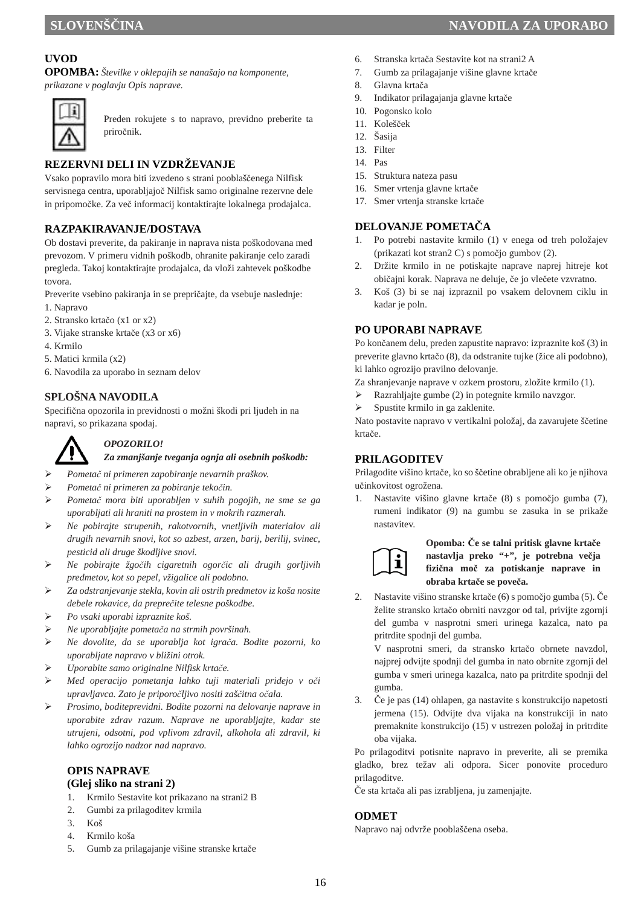## **UVOD**

**OPOMBA:** *Številke v oklepajih se nanašajo na komponente, prikazane v poglavju Opis naprave.* 



Preden rokujete s to napravo, previdno preberite ta priročnik.

## **REZERVNI DELI IN VZDRŽEVANJE**

Vsako popravilo mora biti izvedeno s strani pooblaščenega Nilfisk servisnega centra, uporabljajoč Nilfisk samo originalne rezervne dele in pripomočke. Za več informacij kontaktirajte lokalnega prodajalca.

#### **RAZPAKIRAVANJE/DOSTAVA**

Ob dostavi preverite, da pakiranje in naprava nista poškodovana med prevozom. V primeru vidnih poškodb, ohranite pakiranje celo zaradi pregleda. Takoj kontaktirajte prodajalca, da vloži zahtevek poškodbe tovora.

Preverite vsebino pakiranja in se prepričajte, da vsebuje naslednje:

- 1. Napravo
- 2. Stransko krtačo (x1 or x2)
- 3. Vijake stranske krtače (x3 or x6)
- 4. Krmilo
- 5. Matici krmila (x2)
- 6. Navodila za uporabo in seznam delov

#### **SPLOŠNA NAVODILA**

Specifična opozorila in previdnosti o možni škodi pri ljudeh in na napravi, so prikazana spodaj.

## *OPOZORILO!*

#### *Za zmanjšanje tveganja ognja ali osebnih poškodb:*

- *Pometač ni primeren zapobiranje nevarnih praškov.*
- *Pometač ni primeren za pobiranje tekočin.*
- *Pometač mora biti uporabljen v suhih pogojih, ne sme se ga uporabljati ali hraniti na prostem in v mokrih razmerah.*
- *Ne pobirajte strupenih, rakotvornih, vnetljivih materialov ali drugih nevarnih snovi, kot so azbest, arzen, barij, berilij, svinec, pesticid ali druge škodljive snovi.*
- *Ne pobirajte žgočih cigaretnih ogorčic ali drugih gorljivih predmetov, kot so pepel, vžigalice ali podobno.*
- *Za odstranjevanje stekla, kovin ali ostrih predmetov iz koša nosite debele rokavice, da preprečite telesne poškodbe.*
- *Po vsaki uporabi izpraznite koš.*
- *Ne uporabljajte pometača na strmih površinah.*
- *Ne dovolite, da se uporablja kot igrača. Bodite pozorni, ko uporabljate napravo v bližini otrok.*
- *Uporabite samo originalne Nilfisk krtače.*
- *Med operacijo pometanja lahko tuji materiali pridejo v oči upravljavca. Zato je priporočljivo nositi zaščitna očala.*
- *Prosimo, boditeprevidni. Bodite pozorni na delovanje naprave in uporabite zdrav razum. Naprave ne uporabljajte, kadar ste utrujeni, odsotni, pod vplivom zdravil, alkohola ali zdravil, ki lahko ogrozijo nadzor nad napravo.*

#### **OPIS NAPRAVE (Glej sliko na strani 2)**

- 1. Krmilo Sestavite kot prikazano na strani2 B
- 2. Gumbi za prilagoditev krmila
- 3. Koš
- 4. Krmilo koša
- 5. Gumb za prilagajanje višine stranske krtače
- 6. Stranska krtača Sestavite kot na strani2 A
- 7. Gumb za prilagajanje višine glavne krtače
- 8. Glavna krtača
- 9. Indikator prilagajanja glavne krtače
- 10. Pogonsko kolo
- 11. Kolešček
- 12. Šasija
- 13. Filter
- 14. Pas
- 15. Struktura nateza pasu
- 16. Smer vrtenja glavne krtače
- 17. Smer vrtenja stranske krtače

#### **DELOVANJE POMETAČA**

- 1. Po potrebi nastavite krmilo (1) v enega od treh položajev (prikazati kot stran2 C) s pomočjo gumbov (2).
- 2. Držite krmilo in ne potiskajte naprave naprej hitreje kot običajni korak. Naprava ne deluje, če jo vlečete vzvratno.
- 3. Koš (3) bi se naj izpraznil po vsakem delovnem ciklu in kadar je poln.

#### **PO UPORABI NAPRAVE**

Po končanem delu, preden zapustite napravo: izpraznite koš (3) in preverite glavno krtačo (8), da odstranite tujke (žice ali podobno), ki lahko ogrozijo pravilno delovanje.

Za shranjevanje naprave v ozkem prostoru, zložite krmilo (1).

- $\triangleright$  Razrahljajte gumbe (2) in potegnite krmilo navzgor.
- Spustite krmilo in ga zaklenite.

Nato postavite napravo v vertikalni položaj, da zavarujete ščetine krtače.

#### **PRILAGODITEV**

Prilagodite višino krtače, ko so ščetine obrabljene ali ko je njihova učinkovitost ogrožena.

1. Nastavite višino glavne krtače (8) s pomočjo gumba (7), rumeni indikator (9) na gumbu se zasuka in se prikaže nastavitev.



#### **Opomba: Če se talni pritisk glavne krtače nastavlja preko "+", je potrebna večja fizična moč za potiskanje naprave in obraba krtače se poveča.**

2. Nastavite višino stranske krtače (6) s pomočjo gumba (5). Če želite stransko krtačo obrniti navzgor od tal, privijte zgornji del gumba v nasprotni smeri urinega kazalca, nato pa pritrdite spodnji del gumba.

V nasprotni smeri, da stransko krtačo obrnete navzdol, najprej odvijte spodnji del gumba in nato obrnite zgornji del gumba v smeri urinega kazalca, nato pa pritrdite spodnji del gumba.

3. Če je pas (14) ohlapen, ga nastavite s konstrukcijo napetosti jermena (15). Odvijte dva vijaka na konstrukciji in nato premaknite konstrukcijo (15) v ustrezen položaj in pritrdite oba vijaka.

Po prilagoditvi potisnite napravo in preverite, ali se premika gladko, brez težav ali odpora. Sicer ponovite proceduro prilagoditve.

Če sta krtača ali pas izrabljena, ju zamenjajte.

#### **ODMET**

Napravo naj odvrže pooblaščena oseba.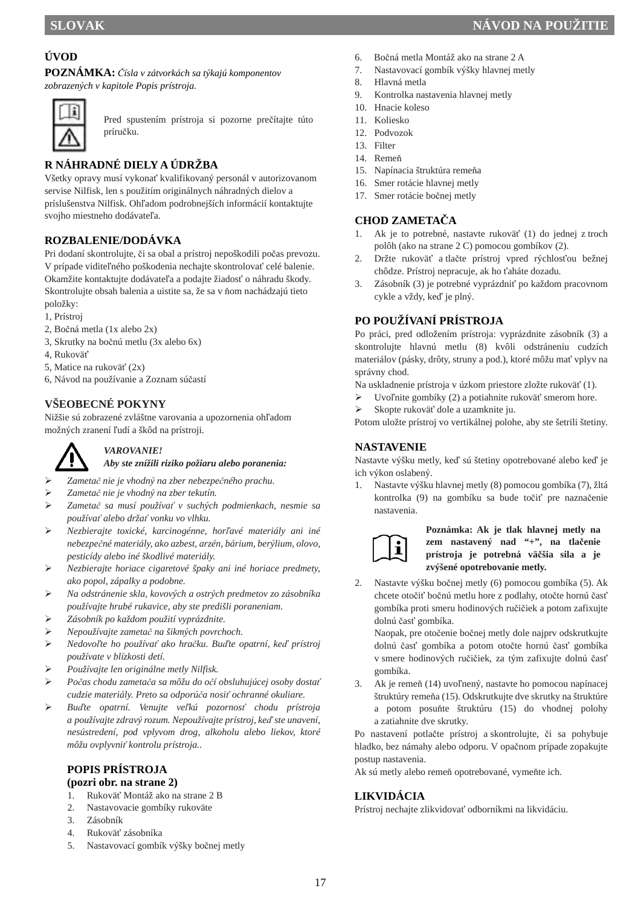## **ÚVOD**

**POZNÁMKA:** *Čísla v zátvorkách sa týkajú komponentov zobrazených v kapitole Popis prístroja.* 



Pred spustením prístroja si pozorne prečítajte túto príručku.

## **R NÁHRADNÉ DIELY A ÚDRŽBA**

Všetky opravy musí vykonať kvalifikovaný personál v autorizovanom servise Nilfisk, len s použitím originálnych náhradných dielov a príslušenstva Nilfisk. Ohľadom podrobnejších informácií kontaktujte svojho miestneho dodávateľa.

## **ROZBALENIE/DODÁVKA**

Pri dodaní skontrolujte, či sa obal a prístroj nepoškodili počas prevozu. V prípade viditeľného poškodenia nechajte skontrolovať celé balenie. Okamžite kontaktujte dodávateľa a podajte žiadosť o náhradu škody. Skontrolujte obsah balenia a uistite sa, že sa v ňom nachádzajú tieto položky:

- 1, Prístroj
- 2, Bočná metla (1x alebo 2x)
- 3, Skrutky na bočnú metlu (3x alebo 6x)
- 4, Rukoväť
- 5, Matice na rukoväť (2x)
- 6, Návod na používanie a Zoznam súčastí

## **VŠEOBECNÉ POKYNY**

Nižšie sú zobrazené zvláštne varovania a upozornenia ohľadom možných zranení ľudí a škôd na prístroji.



#### *VAROVANIE!*

*Aby ste znížili riziko požiaru alebo poranenia:* 

- *Zametač nie je vhodný na zber nebezpečného prachu.*
- *Zametač nie je vhodný na zber tekutín.*
- *Zametač sa musí používať v suchých podmienkach, nesmie sa používať alebo držať vonku vo vlhku.*
- *Nezbierajte toxické, karcinogénne, horľavé materiály ani iné nebezpečné materiály, ako azbest, arzén, bárium, berýlium, olovo, pesticídy alebo iné škodlivé materiály.*
- *Nezbierajte horiace cigaretové špaky ani iné horiace predmety, ako popol, zápalky a podobne.*
- *Na odstránenie skla, kovových a ostrých predmetov zo zásobníka používajte hrubé rukavice, aby ste predišli poraneniam.*
- *Zásobník po každom použití vyprázdnite.*
- *Nepoužívajte zametač na šikmých povrchoch.*
- *Nedovoľte ho používať ako hračku. Buďte opatrní, keď prístroj používate v blízkosti detí.*
- *Používajte len originálne metly Nilfisk.*
- *Počas chodu zametača sa môžu do očí obsluhujúcej osoby dostať cudzie materiály. Preto sa odporúča nosiť ochranné okuliare.*
- *Buďte opatrní. Venujte veľkú pozornosť chodu prístroja a používajte zdravý rozum. Nepoužívajte prístroj, keď ste unavení, nesústredení, pod vplyvom drog, alkoholu alebo liekov, ktoré môžu ovplyvniť kontrolu prístroja..*

#### **POPIS PRÍSTROJA (pozri obr. na strane 2)**

- 1. Rukoväť Montáž ako na strane 2 B
- 2. Nastavovacie gombíky rukoväte
- 3. Zásobník
- 4. Rukoväť zásobníka
- 5. Nastavovací gombík výšky bočnej metly
- 6. Bočná metla Montáž ako na strane 2 A
- 7. Nastavovací gombík výšky hlavnej metly
- 8. Hlavná metla
- 9. Kontrolka nastavenia hlavnej metly
- 10. Hnacie koleso
- 11. Koliesko
- 12. Podvozok
- 13. Filter
- 14. Remeň
- 15. Napínacia štruktúra remeňa
- 16. Smer rotácie hlavnej metly 17. Smer rotácie bočnej metly
- **CHOD ZAMETAČA**
- 1. Ak je to potrebné, nastavte rukoväť (1) do jednej z troch polôh (ako na strane 2 C) pomocou gombíkov (2).
- 2. Držte rukoväť a tlačte prístroj vpred rýchlosťou bežnej chôdze. Prístroj nepracuje, ak ho ťaháte dozadu.
- 3. Zásobník (3) je potrebné vyprázdniť po každom pracovnom cykle a vždy, keď je plný.

## **PO POUŽÍVANÍ PRÍSTROJA**

Po práci, pred odložením prístroja: vyprázdnite zásobník (3) a skontrolujte hlavnú metlu (8) kvôli odstráneniu cudzích materiálov (pásky, drôty, struny a pod.), ktoré môžu mať vplyv na správny chod.

Na uskladnenie prístroja v úzkom priestore zložte rukoväť (1).

- Uvoľnite gombíky (2) a potiahnite rukoväť smerom hore.
- Skopte rukoväť dole a uzamknite ju.

Potom uložte prístroj vo vertikálnej polohe, aby ste šetrili štetiny.

#### **NASTAVENIE**

Nastavte výšku metly, keď sú štetiny opotrebované alebo keď je ich výkon oslabený.

1. Nastavte výšku hlavnej metly (8) pomocou gombíka (7), žltá kontrolka (9) na gombíku sa bude točiť pre naznačenie nastavenia.



**Poznámka: Ak je tlak hlavnej metly na zem nastavený nad "+", na tlačenie prístroja je potrebná väčšia sila a je zvýšené opotrebovanie metly.**

2. Nastavte výšku bočnej metly (6) pomocou gombíka (5). Ak chcete otočiť bočnú metlu hore z podlahy, otočte hornú časť gombíka proti smeru hodinových ručičiek a potom zafixujte dolnú časť gombíka.

Naopak, pre otočenie bočnej metly dole najprv odskrutkujte dolnú časť gombíka a potom otočte hornú časť gombíka v smere hodinových ručičiek, za tým zafixujte dolnú časť gombíka.

3. Ak je remeň (14) uvoľnený, nastavte ho pomocou napínacej štruktúry remeňa (15). Odskrutkujte dve skrutky na štruktúre a potom posuňte štruktúru (15) do vhodnej polohy a zatiahnite dve skrutky.

Po nastavení potlačte prístroj a skontrolujte, či sa pohybuje hladko, bez námahy alebo odporu. V opačnom prípade zopakujte postup nastavenia.

Ak sú metly alebo remeň opotrebované, vymeňte ich.

## **LIKVIDÁCIA**

Prístroj nechajte zlikvidovať odborníkmi na likvidáciu.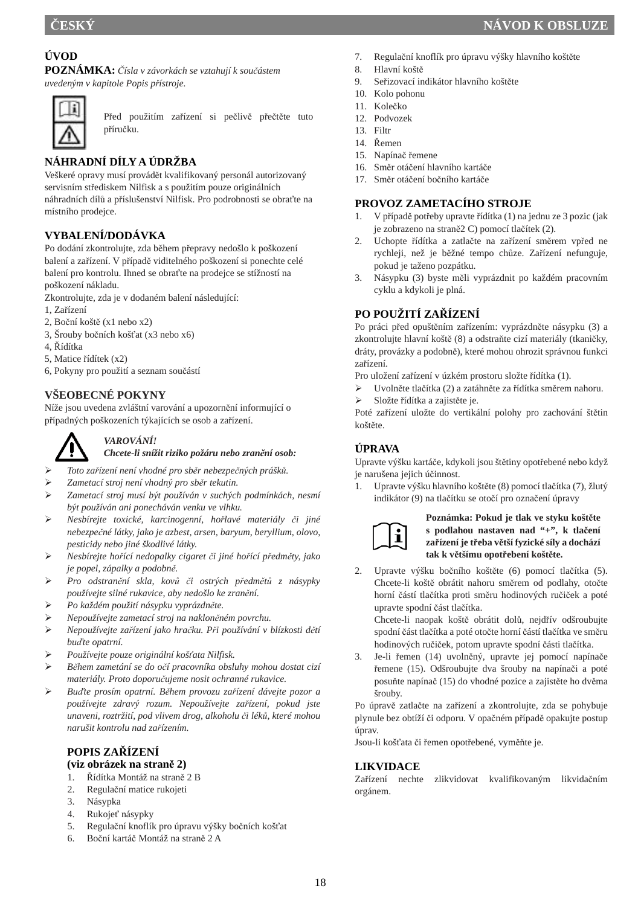## **ÚVOD**

**POZNÁMKA:** *Čísla v závorkách se vztahují k součástem uvedeným v kapitole Popis přístroje.* 



Před použitím zařízení si pečlivě přečtěte tuto příručku.

## **NÁHRADNÍ DÍLY A ÚDRŽBA**

Veškeré opravy musí provádět kvalifikovaný personál autorizovaný servisním střediskem Nilfisk a s použitím pouze originálních náhradních dílů a příslušenství Nilfisk. Pro podrobnosti se obraťte na místního prodejce.

## **VYBALENÍ/DODÁVKA**

Po dodání zkontrolujte, zda během přepravy nedošlo k poškození balení a zařízení. V případě viditelného poškození si ponechte celé balení pro kontrolu. Ihned se obraťte na prodejce se stížností na poškození nákladu.

Zkontrolujte, zda je v dodaném balení následující:

- 1, Zařízení
- 2, Boční koště (x1 nebo x2)
- 3, Šrouby bočních košťat (x3 nebo x6)
- 4, Řídítka
- 5, Matice řídítek (x2)
- 6, Pokyny pro použití a seznam součástí

## **VŠEOBECNÉ POKYNY**

Níže jsou uvedena zvláštní varování a upozornění informující o případných poškozeních týkajících se osob a zařízení.



## *VAROVÁNÍ!*

*Chcete-li snížit riziko požáru nebo zranění osob:* 

- *Toto zařízení není vhodné pro sběr nebezpečných prášků.*
- *Zametací stroj není vhodný pro sběr tekutin.*
- *Zametací stroj musí být používán v suchých podmínkách, nesmí být používán ani ponecháván venku ve vlhku.*
- *Nesbírejte toxické, karcinogenní, hořlavé materiály či jiné nebezpečné látky, jako je azbest, arsen, baryum, beryllium, olovo, pesticidy nebo jiné škodlivé látky.*
- *Nesbírejte hořící nedopalky cigaret či jiné hořící předměty, jako je popel, zápalky a podobně.*
- *Pro odstranění skla, kovů či ostrých předmětů z násypky používejte silné rukavice, aby nedošlo ke zranění.*
- *Po každém použití násypku vyprázdněte.*
- *Nepoužívejte zametací stroj na nakloněném povrchu.*
- *Nepoužívejte zařízení jako hračku. Při používání v blízkosti dětí buďte opatrní.*
- *Používejte pouze originální košťata Nilfisk.*
- *Během zametání se do očí pracovníka obsluhy mohou dostat cizí materiály. Proto doporučujeme nosit ochranné rukavice.*
- *Buďte prosím opatrní. Během provozu zařízení dávejte pozor a používejte zdravý rozum. Nepoužívejte zařízení, pokud jste unaveni, roztržití, pod vlivem drog, alkoholu či léků, které mohou narušit kontrolu nad zařízením.*

#### **POPIS ZAŘÍZENÍ (viz obrázek na straně 2)**

- 1. Řídítka Montáž na straně 2 B
- 2. Regulační matice rukojeti
- 3. Násypka
- 4. Rukojeť násypky
- 5. Regulační knoflík pro úpravu výšky bočních košťat
- 6. Boční kartáč Montáž na straně 2 A
- 7. Regulační knoflík pro úpravu výšky hlavního koštěte
- 8. Hlavní koště
- 9. Seřizovací indikátor hlavního koštěte
- 10. Kolo pohonu
- 11. Kolečko
- 12. Podvozek
- 13. Filtr
- 14. Řemen
- 15. Napínač řemene
- 16. Směr otáčení hlavního kartáče 17. Směr otáčení bočního kartáče

#### **PROVOZ ZAMETACÍHO STROJE**

- 1. V případě potřeby upravte řídítka (1) na jednu ze 3 pozic (jak je zobrazeno na straně2 C) pomocí tlačítek (2).
- 2. Uchopte řídítka a zatlačte na zařízení směrem vpřed ne rychleji, než je běžné tempo chůze. Zařízení nefunguje, pokud je taženo pozpátku.
- 3. Násypku (3) byste měli vyprázdnit po každém pracovním cyklu a kdykoli je plná.

## **PO POUŽITÍ ZAŘÍZENÍ**

Po práci před opuštěním zařízením: vyprázdněte násypku (3) a zkontrolujte hlavní koště (8) a odstraňte cizí materiály (tkaničky, dráty, provázky a podobně), které mohou ohrozit správnou funkci zařízení.

- Pro uložení zařízení v úzkém prostoru složte řídítka (1).
- Uvolněte tlačítka (2) a zatáhněte za řídítka směrem nahoru.
- Složte řídítka a zajistěte je.

Poté zařízení uložte do vertikální polohy pro zachování štětin koštěte.

## **ÚPRAVA**

Upravte výšku kartáče, kdykoli jsou štětiny opotřebené nebo když je narušena jejich účinnost.

1. Upravte výšku hlavního koštěte (8) pomocí tlačítka (7), žlutý indikátor (9) na tlačítku se otočí pro označení úpravy



**Poznámka: Pokud je tlak ve styku koštěte s podlahou nastaven nad "+", k tlačení zařízení je třeba větší fyzické síly a dochází tak k většímu opotřebení koštěte.**

2. Upravte výšku bočního koštěte (6) pomocí tlačítka (5). Chcete-li koště obrátit nahoru směrem od podlahy, otočte horní částí tlačítka proti směru hodinových ručiček a poté upravte spodní část tlačítka.

Chcete-li naopak koště obrátit dolů, nejdřív odšroubujte spodní část tlačítka a poté otočte horní částí tlačítka ve směru hodinových ručiček, potom upravte spodní části tlačítka.

3. Je-li řemen (14) uvolněný, upravte jej pomocí napínače řemene (15). Odšroubujte dva šrouby na napínači a poté posuňte napínač (15) do vhodné pozice a zajistěte ho dvěma šrouby.

Po úpravě zatlačte na zařízení a zkontrolujte, zda se pohybuje plynule bez obtíží či odporu. V opačném případě opakujte postup úprav.

Jsou-li košťata či řemen opotřebené, vyměňte je.

#### **LIKVIDACE**

Zařízení nechte zlikvidovat kvalifikovaným likvidačním orgánem.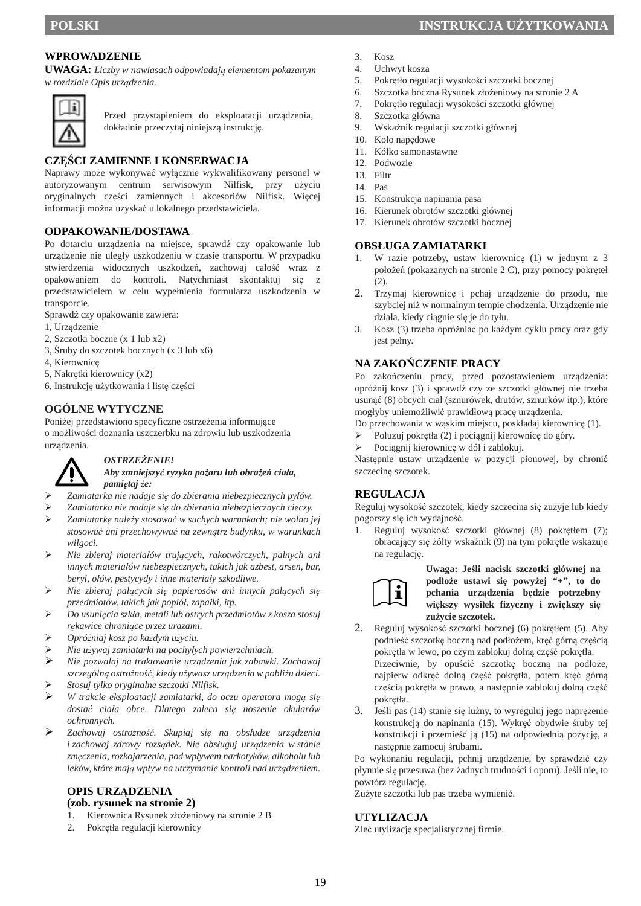#### **WPROWADZENIE**

**UWAGA:** *Liczby w nawiasach odpowiadają elementom pokazanym w rozdziale Opis urządzenia.* 



Przed przystąpieniem do eksploatacji urządzenia, dokładnie przeczytaj niniejszą instrukcję.

#### **CZĘŚCI ZAMIENNE I KONSERWACJA**

Naprawy może wykonywać wyłącznie wykwalifikowany personel w autoryzowanym centrum serwisowym Nilfisk, przy użyciu oryginalnych części zamiennych i akcesoriów Nilfisk. Więcej informacji można uzyskać u lokalnego przedstawiciela.

#### **ODPAKOWANIE/DOSTAWA**

Po dotarciu urządzenia na miejsce, sprawdź czy opakowanie lub urządzenie nie uległy uszkodzeniu w czasie transportu. W przypadku stwierdzenia widocznych uszkodzeń, zachowaj całość wraz z opakowaniem do kontroli. Natychmiast skontaktuj się z przedstawicielem w celu wypełnienia formularza uszkodzenia w transporcie.

Sprawdź czy opakowanie zawiera:

- 1, Urządzenie
- 2, Szczotki boczne (x 1 lub x2)
- 3, Śruby do szczotek bocznych (x 3 lub x6)
- 4, Kierownicę
- 5, Nakrętki kierownicy (x2)
- 6, Instrukcję użytkowania i listę części

#### **OGÓLNE WYTYCZNE**

Poniżej przedstawiono specyficzne ostrzeżenia informujące o możliwości doznania uszczerbku na zdrowiu lub uszkodzenia urządzenia.



#### *OSTRZEŻENIE!*

*Aby zmniejszyć ryzyko pożaru lub obrażeń ciała, pamiętaj że:* 

- *Zamiatarka nie nadaje się do zbierania niebezpiecznych pyłów.*
- *Zamiatarka nie nadaje się do zbierania niebezpiecznych cieczy.*
- *Zamiatarkę należy stosować w suchych warunkach; nie wolno jej stosować ani przechowywać na zewnątrz budynku, w warunkach wilgoci.*
- *Nie zbieraj materiałów trujących, rakotwórczych, palnych ani innych materiałów niebezpiecznych, takich jak azbest, arsen, bar, beryl, ołów, pestycydy i inne materiały szkodliwe.*
- *Nie zbieraj palących się papierosów ani innych palących się przedmiotów, takich jak popiół, zapałki, itp.*
- *Do usunięcia szkła, metali lub ostrych przedmiotów z kosza stosuj rękawice chroniące przez urazami.*
- *Opróżniaj kosz po każdym użyciu.*
- *Nie używaj zamiatarki na pochyłych powierzchniach.*
- *Nie pozwalaj na traktowanie urządzenia jak zabawki. Zachowaj szczególną ostrożność, kiedy używasz urządzenia w pobliżu dzieci. Stosuj tylko oryginalne szczotki Nilfisk.*
- 
- *W trakcie eksploatacji zamiatarki, do oczu operatora mogą się dostać ciała obce. Dlatego zaleca się noszenie okularów ochronnych.*
- *Zachowaj ostrożność. Skupiaj się na obsłudze urządzenia i zachowaj zdrowy rozsądek. Nie obsługuj urządzenia w stanie zmęczenia, rozkojarzenia, pod wpływem narkotyków, alkoholu lub leków, które mają wpływ na utrzymanie kontroli nad urządzeniem.*

#### **OPIS URZĄDZENIA (zob. rysunek na stronie 2)**

- 1. Kierownica Rysunek złożeniowy na stronie 2 B
- 2. Pokrętła regulacji kierownicy
- $3$  Kosz
- 4. Uchwyt kosza
- 5. Pokrętło regulacji wysokości szczotki bocznej
- 6. Szczotka boczna Rysunek złożeniowy na stronie 2 A
- 7. Pokrętło regulacji wysokości szczotki głównej
- 8. Szczotka główna
- 9. Wskaźnik regulacji szczotki głównej
- 10. Koło napędowe
- 11. Kółko samonastawne
- 12. Podwozie
- 13. Filtr
- 14. Pas
- 15. Konstrukcja napinania pasa
- 16. Kierunek obrotów szczotki głównej
- 17. Kierunek obrotów szczotki bocznej

#### **OBSŁUGA ZAMIATARKI**

- 1. W razie potrzeby, ustaw kierownicę (1) w jednym z 3 położeń (pokazanych na stronie 2 C), przy pomocy pokręteł  $(2)$
- 2. Trzymaj kierownicę i pchaj urządzenie do przodu, nie szybciej niż w normalnym tempie chodzenia. Urządzenie nie działa, kiedy ciągnie się je do tyłu.
- 3. Kosz (3) trzeba opróżniać po każdym cyklu pracy oraz gdy jest pełny.

#### **NA ZAKOŃCZENIE PRACY**

Po zakończeniu pracy, przed pozostawieniem urządzenia: opróżnij kosz (3) i sprawdź czy ze szczotki głównej nie trzeba usunąć (8) obcych ciał (sznurówek, drutów, sznurków itp.), które mogłyby uniemożliwić prawidłową pracę urządzenia.

Do przechowania w wąskim miejscu, poskładaj kierownicę (1).

- Poluzuj pokrętła (2) i pociągnij kierownicę do góry.
- Pociągnij kierownicę w dół i zablokuj.

Następnie ustaw urządzenie w pozycji pionowej, by chronić szczecinę szczotek.

#### **REGULACJA**

Reguluj wysokość szczotek, kiedy szczecina się zużyje lub kiedy pogorszy się ich wydajność.

1. Reguluj wysokość szczotki głównej (8) pokrętłem (7); obracający się żółty wskaźnik (9) na tym pokrętle wskazuje na regulację.



**Uwaga: Jeśli nacisk szczotki głównej na podłoże ustawi się powyżej "+", to do pchania urządzenia będzie potrzebny większy wysiłek fizyczny i zwiększy się zużycie szczotek.**

- 2. Reguluj wysokość szczotki bocznej (6) pokrętłem (5). Aby podnieść szczotkę boczną nad podłożem, kręć górną częścią pokrętła w lewo, po czym zablokuj dolną część pokrętła. Przeciwnie, by opuścić szczotkę boczną na podłoże, najpierw odkręć dolną część pokrętła, potem kręć górną częścią pokrętła w prawo, a następnie zablokuj dolną część pokrętła.
- 3. Jeśli pas (14) stanie się luźny, to wyreguluj jego naprężenie konstrukcją do napinania (15). Wykręć obydwie śruby tej konstrukcji i przemieść ją (15) na odpowiednią pozycję, a następnie zamocuj śrubami.

Po wykonaniu regulacji, pchnij urządzenie, by sprawdzić czy płynnie się przesuwa (bez żadnych trudności i oporu). Jeśli nie, to powtórz regulację.

Zużyte szczotki lub pas trzeba wymienić.

#### **UTYLIZACJA**

Zleć utylizację specjalistycznej firmie.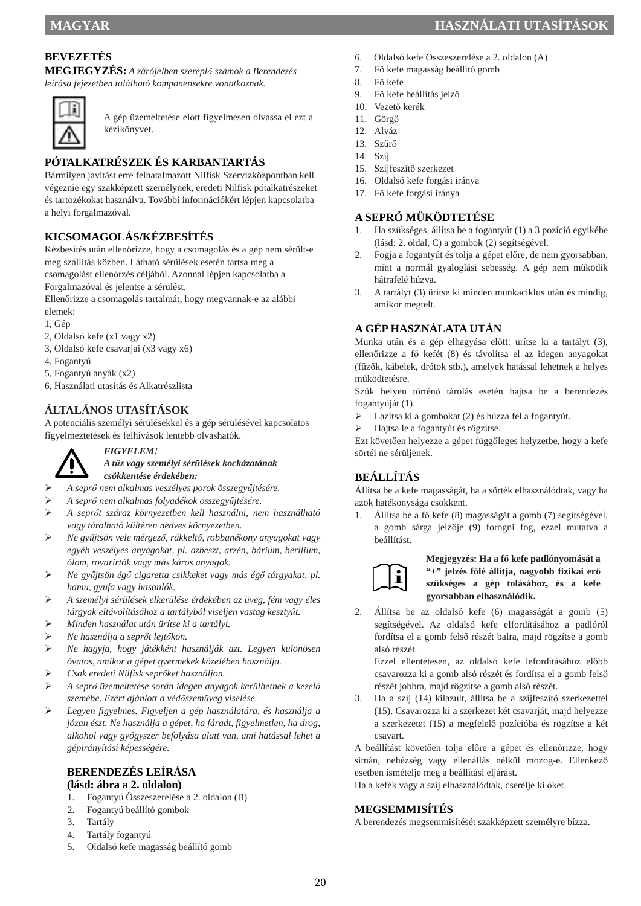**MEGJEGYZÉS:** *A zárójelben szereplő számok a Berendezés leírása fejezetben található komponensekre vonatkoznak.* 



A gép üzemeltetése előtt figyelmesen olvassa el ezt a kézikönyvet.

## **PÓTALKATRÉSZEK ÉS KARBANTARTÁS**

Bármilyen javítást erre felhatalmazott Nilfisk Szervizközpontban kell végeznie egy szakképzett személynek, eredeti Nilfisk pótalkatrészeket és tartozékokat használva. További információkért lépjen kapcsolatba a helyi forgalmazóval.

## **KICSOMAGOLÁS/KÉZBESÍTÉS**

Kézbesítés után ellenőrizze, hogy a csomagolás és a gép nem sérült-e meg szállítás közben. Látható sérülések esetén tartsa meg a csomagolást ellenőrzés céljából. Azonnal lépjen kapcsolatba a

Forgalmazóval és jelentse a sérülést.

Ellenőrizze a csomagolás tartalmát, hogy megvannak-e az alábbi elemek:

- 1, Gép
- 2, Oldalsó kefe (x1 vagy x2)
- 3, Oldalsó kefe csavarjai (x3 vagy x6)
- 4, Fogantyú
- 5, Fogantyú anyák (x2)
- 6, Használati utasítás és Alkatrészlista

## **ÁLTALÁNOS UTASÍTÁSOK**

A potenciális személyi sérülésekkel és a gép sérülésével kapcsolatos figyelmeztetések és felhívások lentebb olvashatók.



*FIGYELEM!* 

#### *A tűz vagy személyi sérülések kockázatának csökkentése érdekében:*

*A seprő nem alkalmas veszélyes porok összegyűjtésére.* 

- *A seprő nem alkalmas folyadékok összegyűjtésére.*
- *A seprőt száraz környezetben kell használni, nem használható vagy tárolható kültéren nedves környezetben.*
- *Ne gyűjtsön vele mérgező, rákkeltő, robbanékony anyagokat vagy egyéb veszélyes anyagokat, pl. azbeszt, arzén, bárium, berílium, ólom, rovarirtók vagy más káros anyagok.*
- *Ne gyűjtsön égő cigaretta csikkeket vagy más égő tárgyakat, pl. hamu, gyufa vagy hasonlók.*
- *A személyi sérülések elkerülése érdekében az üveg, fém vagy éles tárgyak eltávolításához a tartályból viseljen vastag kesztyűt.*
- *Minden használat után ürítse ki a tartályt.*
- *Ne használja a seprőt lejtőkön.*
- *Ne hagyja, hogy játékként használják azt. Legyen különösen óvatos, amikor a gépet gyermekek közelében használja.*
- *Csak eredeti Nilfisk seprőket használjon.*
- *A seprő üzemeltetése során idegen anyagok kerülhetnek a kezelő szemébe. Ezért ajánlott a védőszemüveg viselése.*
- *Legyen figyelmes. Figyeljen a gép használatára, és használja a józan észt. Ne használja a gépet, ha fáradt, figyelmetlen, ha drog, alkohol vagy gyógyszer befolyása alatt van, ami hatással lehet a gépirányítási képességére.*

#### **BERENDEZÉS LEÍRÁSA (lásd: ábra a 2. oldalon)**

- 1. Fogantyú Összeszerelése a 2. oldalon (B)
- 2. Fogantyú beállító gombok
- 3. Tartály
- 4. Tartály fogantyú
- 5. Oldalsó kefe magasság beállító gomb
- **MAGYAR HASZNÁLATI UTASÍTÁSOK** 
	- 6. Oldalsó kefe Összeszerelése a 2. oldalon (A)
	- 7. Fő kefe magasság beállító gomb
	- 8. Fő kefe
	- 9. Fő kefe beállítás jelző
	- 10. Vezető kerék
	- 11. Görgő
	- 12. Alváz 13. Szűrő
	- 14. Szíj
	-
	- 15. Szíjfeszítő szerkezet
	- 16. Oldalsó kefe forgási iránya
	- 17. Fő kefe forgási iránya

#### **A SEPRŐ MŰKÖDTETÉSE**

- 1. Ha szükséges, állítsa be a fogantyút (1) a 3 pozíció egyikébe (lásd: 2. oldal, C) a gombok (2) segítségével.
- 2. Fogja a fogantyút és tolja a gépet előre, de nem gyorsabban, mint a normál gyaloglási sebesség. A gép nem működik hátrafelé húzva.
- 3. A tartályt (3) ürítse ki minden munkaciklus után és mindig, amikor megtelt.

## **A GÉP HASZNÁLATA UTÁN**

Munka után és a gép elhagyása előtt: ürítse ki a tartályt (3), ellenőrizze a fő kefét (8) és távolítsa el az idegen anyagokat (fűzők, kábelek, drótok stb.), amelyek hatással lehetnek a helyes működtetésre.

Szűk helyen történő tárolás esetén hajtsa be a berendezés fogantyúját (1).

- Lazítsa ki a gombokat (2) és húzza fel a fogantyút.
- Hajtsa le a fogantyút és rögzítse.

Ezt követően helyezze a gépet függőleges helyzetbe, hogy a kefe sörtéi ne sérüljenek.

## **BEÁLLÍTÁS**

Állítsa be a kefe magasságát, ha a sörték elhasználódtak, vagy ha azok hatékonysága csökkent.

1. Állítsa be a fő kefe (8) magasságát a gomb (7) segítségével, a gomb sárga jelzője (9) forogni fog, ezzel mutatva a beállítást.



#### **Megjegyzés: Ha a fő kefe padlónyomását a "+" jelzés fölé állítja, nagyobb fizikai erő szükséges a gép tolásához, és a kefe gyorsabban elhasználódik.**

2. Állítsa be az oldalsó kefe (6) magasságát a gomb (5) segítségével. Az oldalsó kefe elfordításához a padlóról fordítsa el a gomb felső részét balra, majd rögzítse a gomb alsó részét.

Ezzel ellentétesen, az oldalsó kefe lefordításához előbb csavarozza ki a gomb alsó részét és fordítsa el a gomb felső részét jobbra, majd rögzítse a gomb alsó részét.

3. Ha a szíj (14) kilazult, állítsa be a szíjfeszítő szerkezettel (15). Csavarozza ki a szerkezet két csavarját, majd helyezze a szerkezetet (15) a megfelelő pozícióba és rögzítse a két csavart.

A beállítást követően tolja előre a gépet és ellenőrizze, hogy simán, nehézség vagy ellenállás nélkül mozog-e. Ellenkező esetben ismételje meg a beállítási eljárást.

Ha a kefék vagy a szíj elhasználódtak, cserélje ki őket.

## **MEGSEMMISÍTÉS**

A berendezés megsemmisítését szakképzett személyre bízza.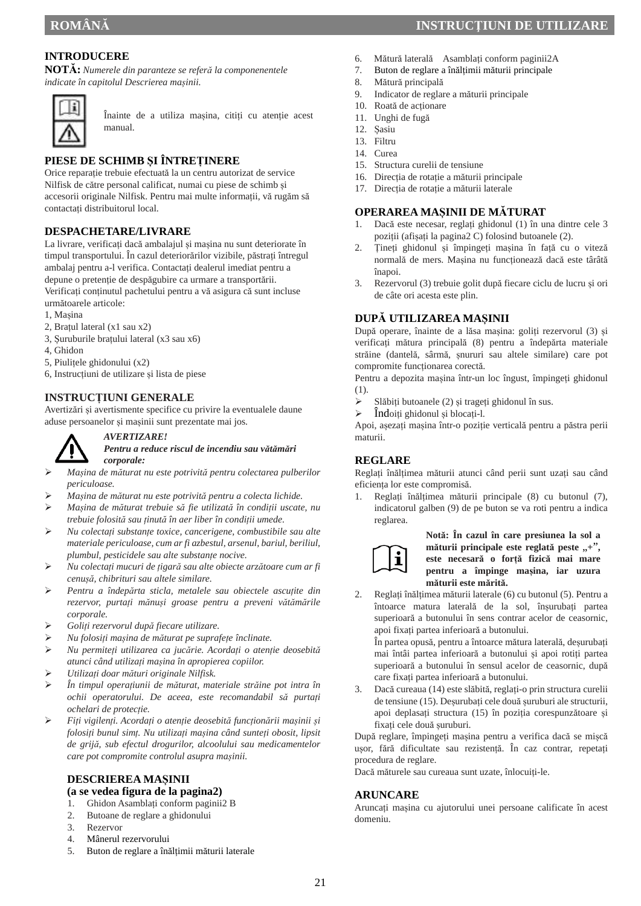## **INTRODUCERE**

**NOTĂ:** *Numerele din paranteze se referă la componenentele indicate în capitolul Descrierea mașinii.* 



Înainte de a utiliza mașina, citiți cu atenție acest manual.

## **PIESE DE SCHIMB ȘI ÎNTREȚINERE**

Orice reparație trebuie efectuată la un centru autorizat de service Nilfisk de către personal calificat, numai cu piese de schimb și accesorii originale Nilfisk. Pentru mai multe informații, vă rugăm să contactați distribuitorul local.

#### **DESPACHETARE/LIVRARE**

La livrare, verificați dacă ambalajul și mașina nu sunt deteriorate în timpul transportului. În cazul deteriorărilor vizibile, păstrați întregul ambalaj pentru a-l verifica. Contactați dealerul imediat pentru a depune o pretenție de despăgubire ca urmare a transportării. Verificați conținutul pachetului pentru a vă asigura că sunt incluse următoarele articole:

- 1, Mașina
- 2, Brațul lateral (x1 sau x2)
- 3, Șuruburile brațului lateral (x3 sau x6)
- 4, Ghidon
- 5, Piulițele ghidonului (x2)
- 6, Instrucțiuni de utilizare și lista de piese

*AVERTIZARE!* 

#### **INSTRUCȚIUNI GENERALE**

Avertizări și avertismente specifice cu privire la eventualele daune aduse persoanelor și mașinii sunt prezentate mai jos.



#### *Pentru a reduce riscul de incendiu sau vătămări corporale:*

- *Mașina de măturat nu este potrivită pentru colectarea pulberilor periculoase.*
- *Mașina de măturat nu este potrivită pentru a colecta lichide.*
- *Mașina de măturat trebuie să fie utilizată în condiții uscate, nu trebuie folosită sau ținută în aer liber în condiții umede.*
- *Nu colectați substanțe toxice, cancerigene, combustibile sau alte materiale periculoase, cum ar fi azbestul, arsenul, bariul, beriliul, plumbul, pesticidele sau alte substanțe nocive.*
- *Nu colectați mucuri de țigară sau alte obiecte arzătoare cum ar fi cenușă, chibrituri sau altele similare.*
- *Pentru a îndepărta sticla, metalele sau obiectele ascuțite din rezervor, purtați mănuși groase pentru a preveni vătămările corporale.*
- *Goliți rezervorul după fiecare utilizare.*
- *Nu folosiți mașina de măturat pe suprafețe înclinate.*
- *Nu permiteți utilizarea ca jucărie. Acordați o atenție deosebită atunci când utilizați mașina în apropierea copiilor.*
- *Utilizați doar mături originale Nilfisk.*
- *În timpul operațiunii de măturat, materiale străine pot intra în ochii operatorului. De aceea, este recomandabil să purtați ochelari de protecție.*
- *Fiți vigilenți. Acordați o atenție deosebită funcționării mașinii și folosiți bunul simț. Nu utilizați mașina când sunteți obosit, lipsit de grijă, sub efectul drogurilor, alcoolului sau medicamentelor care pot compromite controlul asupra mașinii.*

#### **DESCRIEREA MAȘINII (a se vedea figura de la pagina2)**

- 1. Ghidon Asamblați conform paginii2 B
- 2. Butoane de reglare a ghidonului
- 3. Rezervor
- 4. Mânerul rezervorului
- 5. Buton de reglare a înălțimii măturii laterale

## **ROMÂNĂ INSTRUCŢIUNI DE UTILIZARE**

- 6. Mătură laterală Asamblați conform paginii2A
- 7. Buton de reglare a înălțimii măturii principale
- 8. Mătură principală
- 9. Indicator de reglare a măturii principale
- 10. Roată de acționare
- 11. Unghi de fugă
- 12. Șasiu
- 13. Filtru
- 14. Curea
- 15. Structura curelii de tensiune
- 16. Direcția de rotație a măturii principale
- 17. Direcția de rotație a măturii laterale

#### **OPERAREA MAȘINII DE MĂTURAT**

- 1. Dacă este necesar, reglați ghidonul (1) în una dintre cele 3 poziții (afișați la pagina2 C) folosind butoanele (2).
- 2. Țineți ghidonul și împingeți mașina în față cu o viteză normală de mers. Mașina nu funcționează dacă este târâtă înapoi.
- 3. Rezervorul (3) trebuie golit după fiecare ciclu de lucru și ori de câte ori acesta este plin.

#### **DUPĂ UTILIZAREA MAȘINII**

După operare, înainte de a lăsa mașina: goliți rezervorul (3) și verificați mătura principală (8) pentru a îndepărta materiale străine (dantelă, sârmă, șnururi sau altele similare) care pot compromite funcționarea corectă.

Pentru a depozita mașina într-un loc îngust, împingeți ghidonul (1).

- $\triangleright$  Slăbiti butoanele (2) și trageți ghidonul în sus.
- $\triangleright$  Îndoiți ghidonul și blocați-l.

Apoi, așezați mașina într-o poziție verticală pentru a păstra perii maturii.

#### **REGLARE**

Reglați înălțimea măturii atunci când perii sunt uzați sau când eficiența lor este compromisă.

1. Reglați înălțimea măturii principale (8) cu butonul (7), indicatorul galben (9) de pe buton se va roti pentru a indica reglarea.



**Notă: În cazul în care presiunea la sol a măturii principale este reglată peste**  $, +$ " **este necesară o forță fizică mai mare pentru a împinge mașina, iar uzura măturii este mărită.**

2. Reglați înălțimea măturii laterale (6) cu butonul (5). Pentru a întoarce matura laterală de la sol, înșurubați partea superioară a butonului în sens contrar acelor de ceasornic, apoi fixați partea inferioară a butonului.

În partea opusă, pentru a întoarce mătura laterală, deșurubați mai întâi partea inferioară a butonului și apoi rotiți partea superioară a butonului în sensul acelor de ceasornic, după care fixați partea inferioară a butonului.

3. Dacă cureaua (14) este slăbită, reglați-o prin structura curelii de tensiune (15). Deșurubați cele două șuruburi ale structurii, apoi deplasați structura (15) în poziția corespunzătoare și fixați cele două șuruburi.

După reglare, împingeți mașina pentru a verifica dacă se mișcă ușor, fără dificultate sau rezistență. În caz contrar, repetați procedura de reglare.

Dacă măturele sau cureaua sunt uzate, înlocuiți-le.

#### **ARUNCARE**

Aruncați mașina cu ajutorului unei persoane calificate în acest domeniu.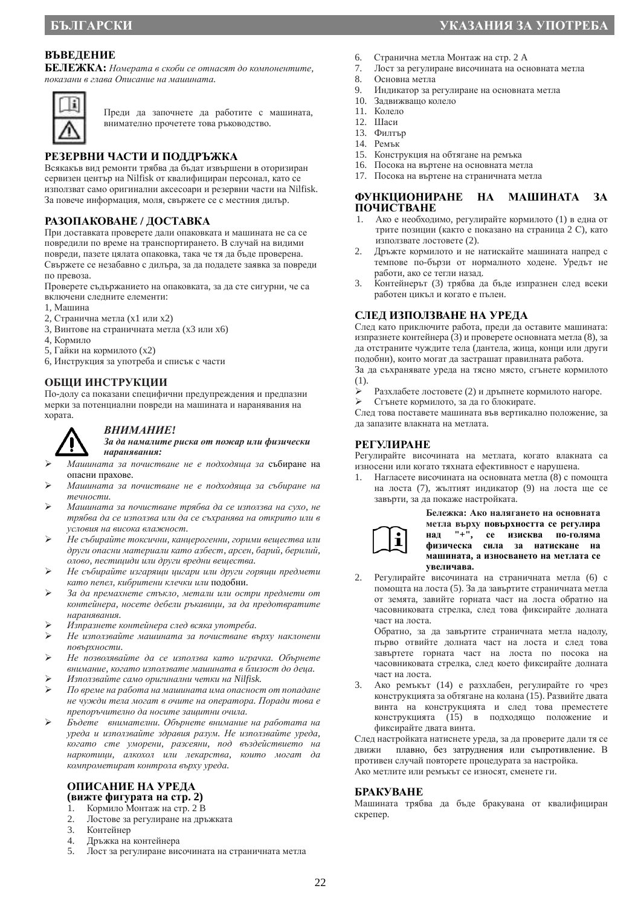## **ВЪВЕДЕНИЕ**

**БЕЛЕЖКА:** *Номерата в скоби се отнасят до компонентите, показани в глава Описание на машината.* 



Преди да започнете да работите с машината, внимателно прочетете това ръководство.

## **РЕЗЕРВНИ ЧАСТИ И ПОДДРЪЖКА**

Всякакъв вид ремонти трябва да бъдат извършени в оторизиран сервизен център на Nilfisk от квалифициран персонал, като се използват само оригинални аксесоари и резервни части на Nilfisk. За повече информация, моля, свържете се с местния дилър.

#### **РАЗОПАКОВАНЕ / ДОСТАВКА**

При доставката проверете дали опаковката и машината не са се повредили по време на транспортирането. В случай на видими повреди, пазете цялата опаковка, така че тя да бъде проверена. Свържете се незабавно с дилъра, за да подадете заявка за повреди по превоза.

Проверете съдържанието на опаковката, за да сте сигурни, че са включени следните елементи:

- 1, Машина
- 2, Странична метла (x1 или x2)
- 3, Винтове на страничната метла (x3 или x6)
- 4, Кормило
- 5, Гайки на кормилото (x2)
- 6, Инструкция за употреба и списък с части

#### **ОБЩИ ИНСТРУКЦИИ**

По-долу са показани специфични предупреждения и предпазни мерки за потенциални повреди на машината и наранявания на хората.



#### *За да намалите риска от пожар или физически наранявания:*

- *Машината за почистване не е подходяща за* събиране на опасни прахове.
- *Машината за почистване не е подходяща за събиране на течности.*
- *Машината за почистване трябва да се използва на сухо, не трябва да се използва или да се съхранява на открито или в условия на висока влажност.*
- *Не събирайте токсични, канцерогенни, горими вещества или други опасни материали като азбест, арсен, барий, берилий, олово, пестициди или други вредни вещества.*
- *Не събирайте изгарящи цигари или други горящи предмети като пепел, кибритени клечки или* подобни.
- *За да премахнете стъкло, метали или остри предмети от контейнера, носете дебели ръкавици, за да предотвратите наранявания.*
- *Изпразнете контейнера след всяка употреба.*
- *Не използвайте машината за почистване върху наклонени повърхности.*
- *Не позволявайте да се използва като играчка. Обърнете внимание, когато използвате машината в близост до деца.*
- *Използвайте само оригинални четки на Nilfisk.*
- *По време на работа на машината има опасност от попадане не чужди тела могат в очите на оператора. Поради това е препоръчително да носите защитни очила.*
- *Бъдете внимателни. Обърнете внимание на работата на уреда и използвайте здравия разум. Не използвайте уреда, когато сте уморени, разсеяни, под въздействието на наркотици, алкохол или лекарства, които могат да компрометират контрола върху уреда.*

# **ОПИСАНИЕ НА УРЕДА (вижте фигурата на стр. 2)**

- 1. Кормило Монтаж на стр. 2 В<br>2. Лостове за регулиране на лръ
- 2. Лостове за регулиране на дръжката
- 3. Контейнер<br>4 Лръжка на
- 4. Дръжка на контейнера
- 5. Лост за регулиране височината на страничната метла
- 6. Странична метла Монтаж на стр. 2 A
- 7. Лост за регулиране височината на основната метла
- Основна метла
- 9. Индикатор за регулиране на основната метла
- 10. Задвижващо колело
- 11. Колело
- 12. Шаси
- 13. Филтър
- 14. Ремък
- 15. Конструкция на обтягане на ремъка
- 16. Посока на въртене на основната метла
- 17. Посока на въртене на страничната метла

#### **ФУНКЦИОНИРАНЕ НА МАШИНАТА ЗА ПОЧИСТВАНЕ**

- 1. Ако е необходимо, регулирайте кормилото (1) в една от трите позиции (както е показано на страница 2 С), като използвате лостовете (2).
- 2. Дръжте кормилото и не натискайте машината напред с темпове по-бързи от нормалното ходене. Уредът не работи, ако се тегли назад.
- 3. Контейнерът (3) трябва да бъде изпразнен след всеки работен цикъл и когато е пълен.

#### **СЛЕД ИЗПОЛЗВАНЕ НА УРЕДА**

След като приключите работа, преди да оставите машината: изпразнете контейнера (3) и проверете основната метла (8), за да отстраните чуждите тела (дантела, жица, конци или други подобни), които могат да застрашат правилната работа.

За да съхранявате уреда на тясно място, сгънете кормилото (1).

- $\triangleright$  Разхлабете лостовете (2) и дръпнете кормилото нагоре.<br>  $\triangleright$  Стънете кормилото, за ла го блокирате.
- Сгънете кормилото, за да го блокирате.

След това поставете машината във вертикално положение, за да запазите влакната на метлата.

#### **РЕГУЛИРАНЕ**

Регулирайте височината на метлата, когато влакната са износени или когато тяхната ефективност е нарушена.

1. Нагласете височината на основната метла (8) с помощта на лоста (7), жълтият индикатор (9) на лоста ще се завърти, за да покаже настройката.



**Бележка: Ако налягането на основната метла върху повърхността се регулира над "+", се изисква по-голяма физическа сила за натискане на машината, а износването на метлата се увеличава.**

2. Регулирайте височината на страничната метла (6) с помощта на лоста (5). За да завъртите страничната метла от земята, завийте горната част на лоста обратно на часовниковата стрелка, след това фиксирайте долната част на лоста.

Обратно, за да завъртите страничната метла надолу, първо отвийте долната част на лоста и след това завъртете горната част на лоста по посока на часовниковата стрелка, след което фиксирайте долната част на лоста.

3. Ако ремъкът (14) е разхлабен, регулирайте го чрез конструкцията за обтягане на колана (15). Развийте двата винта на конструкцията и след това преместете конструкцията (15) в подходящо положение и фиксирайте двата винта.

След настройката натиснете уреда, за да проверите дали тя се движи плавно, без затруднения или съпротивление. В противен случай повторете процедурата за настройка. Ако метлите или ремъкът се износят, сменете ги.

#### **БРАКУВАНЕ**

Машината трябва да бъде бракувана от квалифициран скрепер.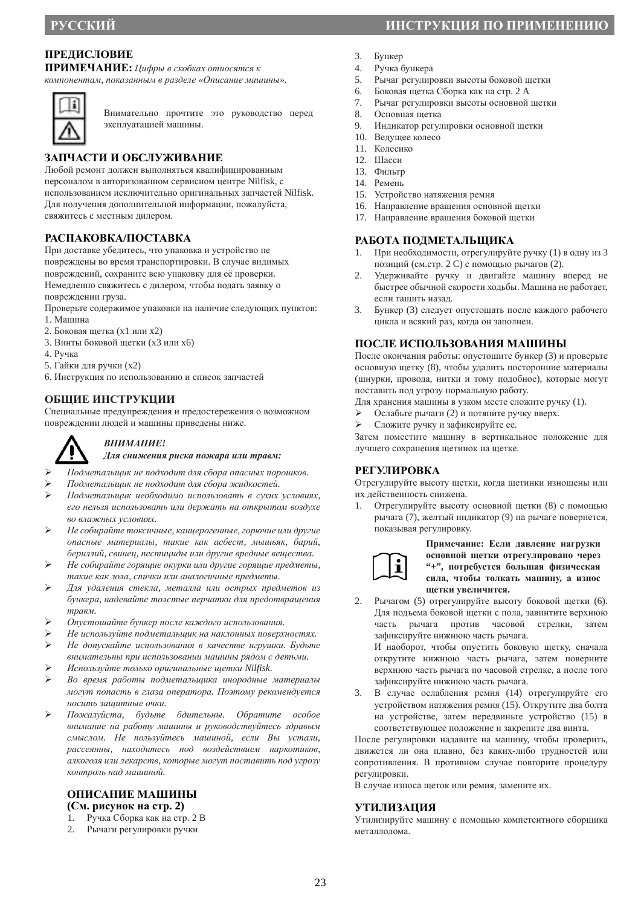## **ПРЕДИСЛОВИЕ**

**ПРИМЕЧАНИЕ:** *Цифры в скобках относятся к*

*компонентам, показанным в разделе «Описание машины».* 



Внимательно прочтите это руководство перед эксплуатацией машины.

## **ЗАПЧАСТИ И ОБСЛУЖИВАНИЕ**

Любой ремонт должен выполняться квалифицированным персоналом в авторизованном сервисном центре Nilfisk, с использованием исключительно оригинальных запчастей Nilfisk. Для получения дополнительной информации, пожалуйста, свяжитесь с местным дилером.

## **РАСПАКОВКА/ПОСТАВКА**

При доставке убедитесь, что упаковка и устройство не повреждены во время транспортировки. В случае видимых повреждений, сохраните всю упаковку для её проверки. Немедленно свяжитесь с дилером, чтобы подать заявку о повреждении груза.

- Проверьте содержимое упаковки на наличие следующих пунктов: 1. Машина
- 2. Боковая щетка (x1 или x2)
- 3. Винты боковой щетки (x3 или x6)
- 4. Ручка
- 5. Гайки для ручки (x2)
- 6. Инструкция по использованию и список запчастей

#### **ОБЩИЕ ИНСТРУКЦИИ**

Специальные предупреждения и предостережения о возможном повреждении людей и машины приведены ниже.



#### *ВНИМАНИЕ! Для снижения риска пожара или травм:*

- *Подметальщик не подходит для сбора опасных порошков.*
- *Подметальщик не подходит для сбора жидкостей.*
- *Подметальщик необходимо использовать в сухих условиях, его нельзя использовать или держать на открытом воздухе во влажных условиях.*
- *Не собирайте токсичные, канцерогенные, горючие или другие опасные материалы, такие как асбест, мышьяк, барий, бериллий, свинец, пестициды или другие вредные вещества.*
- *Не собирайте горящие окурки или другие горящие предметы, такие как зола, спички или аналогичные предметы.*
- *Для удаления стекла, металла или острых предметов из бункера, надевайте толстые перчатки для предотвращения травм.*
- *Опустошайте бункер после каждого использования.*
- *Не используйте подметальщик на наклонных поверхностях. Не допускайте использования в качестве игрушки. Будьте*
- *внимательны при использовании машины рядом с детьми. Используйте только оригинальные щетки Nilfisk.*
- 
- *Во время работы подметальщика инородные материалы могут попасть в глаза оператора. Поэтому рекомендуется носить защитные очки.*
- *Пожалуйста, будьте бдительны. Обратите особое внимание на работу машины и руководствуйтесь здравым смыслом. Не пользуйтесь машиной, если Вы устали, рассеянны, находитесь под воздействием наркотиков, алкоголя или лекарств, которые могут поставить под угрозу контроль над машиной.*

## **ОПИСАНИЕ МАШИНЫ**

- **(См. рисунок на стр. 2)**
- 1. Ручка Сборка как на стр. 2 B
- 2. Рычаги регулировки ручки
- **РУССКИЙ ИНСТРУКЦИЯ ПО ПРИМЕНЕНИЮ**
	- 3. Бункер
	- 4. Ручка бункера
	- 5. Рычаг регулировки высоты боковой щетки
	- 6. Боковая щетка Сборка как на стр. 2 A
	- 7. Рычаг регулировки высоты основной щетки
	- 8. Основная щетка
	- 9. Индикатор регулировки основной щетки
	- 10. Ведущее колесо
	- 11. Колесико
	- 12. Шасси
	- 13. Фильтр
	- 14. Ремень
	- 15. Устройство натяжения ремня
	- 16. Направление вращения основной щетки
	- 17. Направление вращения боковой щетки

#### **РАБОТА ПОДМЕТАЛЬЩИКА**

- 1. При необходимости, отрегулируйте ручку (1) в одну из 3 позиций (см.стр. 2 C) с помощью рычагов (2).
- 2. Удерживайте ручку и двигайте машину вперед не быстрее обычной скорости ходьбы. Машина не работает, если тащить назад.
- 3. Бункер (3) следует опустошать после каждого рабочего цикла и всякий раз, когда он заполнен.

#### **ПОСЛЕ ИСПОЛЬЗОВАНИЯ МАШИНЫ**

После окончания работы: опустошите бункер (3) и проверьте основную щетку (8), чтобы удалить посторонние материалы (шнурки, провода, нитки и тому подобное), которые могут поставить под угрозу нормальную работу.

- Для хранения машины в узком месте сложите ручку (1).
- Ослабьте рычаги (2) и потяните ручку вверх.
- Сложите ручку и зафиксируйте ее.

Затем поместите машину в вертикальное положение для лучшего сохранения щетинок на щетке.

#### **РЕГУЛИРОВКА**

Отрегулируйте высоту щетки, когда щетинки изношены или их действенность снижена.

1. Отрегулируйте высоту основной щетки (8) с помощью рычага (7), желтый индикатор (9) на рычаге повернется, показывая регулировку.

**Примечание: Если давление нагрузки основной щетки отрегулировано через "+", потребуется большая физическая сила, чтобы толкать машину, а износ щетки увеличится.**

2. Рычагом (5) отрегулируйте высоту боковой щетки (6). Для подъема боковой щетки с пола, завинтите верхнюю часть рычага против часовой стрелки, затем зафиксируйте нижнюю часть рычага.

И наоборот, чтобы опустить боковую щетку, сначала открутите нижнюю часть рычага, затем поверните верхнюю часть рычага по часовой стрелке, а после того зафиксируйте нижнюю часть рычага.

3. В случае ослабления ремня (14) отрегулируйте его устройством натяжения ремня (15). Открутите два болта на устройстве, затем передвиньте устройство (15) в соответствующее положение и закрепите два винта.

После регулировки надавите на машину, чтобы проверить, движется ли она плавно, без каких-либо трудностей или сопротивления. В противном случае повторите процедуру регулировки.

В случае износа щеток или ремня, замените их.

#### **УТИЛИЗАЦИЯ**

Утилизируйте машину с помощью компетентного сборщика металлолома.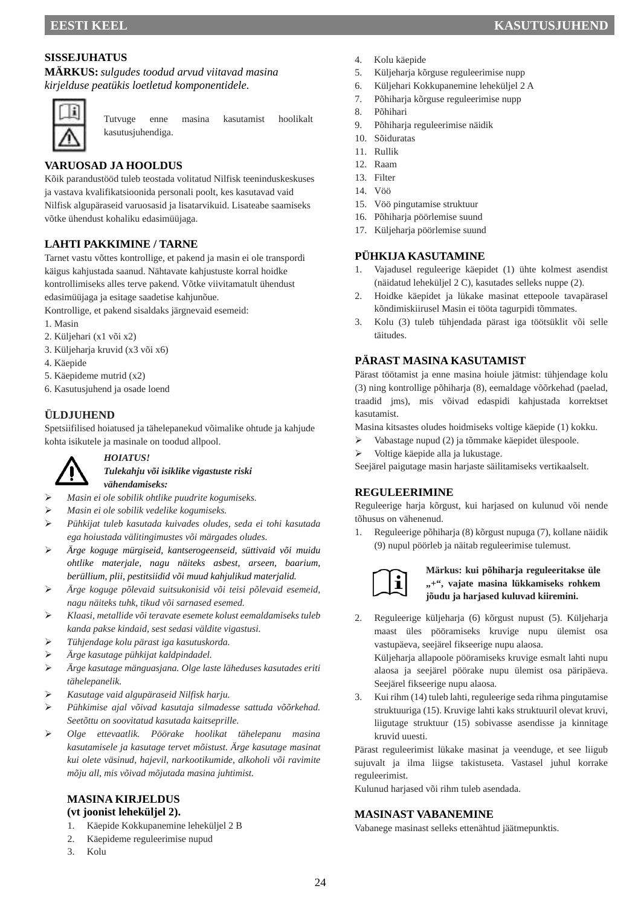#### **SISSEJUHATUS**

**MÄRKUS:***sulgudes toodud arvud viitavad masina kirjelduse peatükis loetletud komponentidele.*



Tutvuge enne masina kasutamist hoolikalt kasutusjuhendiga.

## **VARUOSAD JA HOOLDUS**

Kõik parandustööd tuleb teostada volitatud Nilfisk teeninduskeskuses ja vastava kvalifikatsioonida personali poolt, kes kasutavad vaid Nilfisk algupäraseid varuosasid ja lisatarvikuid. Lisateabe saamiseks võtke ühendust kohaliku edasimüüjaga.

#### **LAHTI PAKKIMINE / TARNE**

Tarnet vastu võttes kontrollige, et pakend ja masin ei ole transpordi käigus kahjustada saanud. Nähtavate kahjustuste korral hoidke kontrollimiseks alles terve pakend. Võtke viivitamatult ühendust edasimüüjaga ja esitage saadetise kahjunõue.

Kontrollige, et pakend sisaldaks järgnevaid esemeid:

- 1. Masin
- 2. Küljehari (x1 või x2)
- 3. Küljeharja kruvid (x3 või x6)
- 4. Käepide
- 5. Käepideme mutrid (x2)
- 6. Kasutusjuhend ja osade loend

## **ÜLDJUHEND**

Spetsiifilised hoiatused ja tähelepanekud võimalike ohtude ja kahjude kohta isikutele ja masinale on toodud allpool.



*HOIATUS!* 

#### *Tulekahju või isiklike vigastuste riski vähendamiseks:*

- *Masin ei ole sobilik ohtlike puudrite kogumiseks.*
- *Masin ei ole sobilik vedelike kogumiseks.*
- *Pühkijat tuleb kasutada kuivades oludes, seda ei tohi kasutada ega hoiustada välitingimustes või märgades oludes.*
- *Ärge koguge mürgiseid, kantserogeenseid, süttivaid või muidu ohtlike materjale, nagu näiteks asbest, arseen, baarium, berüllium, plii, pestitsiidid või muud kahjulikud materjalid.*
- *Ärge koguge põlevaid suitsukonisid või teisi põlevaid esemeid, nagu näiteks tuhk, tikud või sarnased esemed.*
- *Klaasi, metallide või teravate esemete kolust eemaldamiseks tuleb kanda pakse kindaid, sest sedasi väldite vigastusi.*
- *Tühjendage kolu pärast iga kasutuskorda.*
- *Ärge kasutage pühkijat kaldpindadel.*
- *Ärge kasutage mänguasjana. Olge laste läheduses kasutades eriti tähelepanelik.*
- *Kasutage vaid algupäraseid Nilfisk harju.*
- *Pühkimise ajal võivad kasutaja silmadesse sattuda võõrkehad. Seetõttu on soovitatud kasutada kaitseprille.*
- *Olge ettevaatlik. Pöörake hoolikat tähelepanu masina kasutamisele ja kasutage tervet mõistust. Ärge kasutage masinat kui olete väsinud, hajevil, narkootikumide, alkoholi või ravimite mõju all, mis võivad mõjutada masina juhtimist.*

#### **MASINA KIRJELDUS (vt joonist leheküljel 2).**

- 1. Käepide Kokkupanemine leheküljel 2 B
- 2. Käepideme reguleerimise nupud
- 3. Kolu
- 4. Kolu käepide
- 5. Küljeharja kõrguse reguleerimise nupp
- 6. Küljehari Kokkupanemine leheküljel 2 A
- 7. Põhiharja kõrguse reguleerimise nupp
- 8. Põhihari
- 9. Põhiharja reguleerimise näidik
- 10. Sõiduratas
- 11. Rullik
- 12. Raam
- 13. Filter
- 14. Vöö
- 15. Vöö pingutamise struktuur
- 16. Põhiharja pöörlemise suund
- 17. Küljeharja pöörlemise suund

#### **PÜHKIJA KASUTAMINE**

- 1. Vajadusel reguleerige käepidet (1) ühte kolmest asendist (näidatud leheküljel 2 C), kasutades selleks nuppe (2).
- 2. Hoidke käepidet ja lükake masinat ettepoole tavapärasel kõndimiskiirusel Masin ei tööta tagurpidi tõmmates.
- 3. Kolu (3) tuleb tühjendada pärast iga töötsüklit või selle täitudes.

#### **PÄRAST MASINA KASUTAMIST**

Pärast töötamist ja enne masina hoiule jätmist: tühjendage kolu (3) ning kontrollige põhiharja (8), eemaldage võõrkehad (paelad, traadid jms), mis võivad edaspidi kahjustada korrektset kasutamist.

Masina kitsastes oludes hoidmiseks voltige käepide (1) kokku.

- Vabastage nupud (2) ja tõmmake käepidet ülespoole.
- Voltige käepide alla ja lukustage.

Seejärel paigutage masin harjaste säilitamiseks vertikaalselt.

#### **REGULEERIMINE**

Reguleerige harja kõrgust, kui harjased on kulunud või nende tõhusus on vähenenud.

1. Reguleerige põhiharja (8) kõrgust nupuga (7), kollane näidik (9) nupul pöörleb ja näitab reguleerimise tulemust.



#### **Märkus: kui põhiharja reguleeritakse üle "+", vajate masina lükkamiseks rohkem jõudu ja harjased kuluvad kiiremini.**

2. Reguleerige küljeharja (6) kõrgust nupust (5). Küljeharja maast üles pööramiseks kruvige nupu ülemist osa vastupäeva, seejärel fikseerige nupu alaosa.

Küljeharja allapoole pööramiseks kruvige esmalt lahti nupu alaosa ja seejärel pöörake nupu ülemist osa päripäeva. Seejärel fikseerige nupu alaosa.

3. Kui rihm (14) tuleb lahti, reguleerige seda rihma pingutamise struktuuriga (15). Kruvige lahti kaks struktuuril olevat kruvi, liigutage struktuur (15) sobivasse asendisse ja kinnitage kruvid uuesti.

Pärast reguleerimist lükake masinat ja veenduge, et see liigub sujuvalt ja ilma liigse takistuseta. Vastasel juhul korrake reguleerimist.

Kulunud harjased või rihm tuleb asendada.

#### **MASINAST VABANEMINE**

Vabanege masinast selleks ettenähtud jäätmepunktis.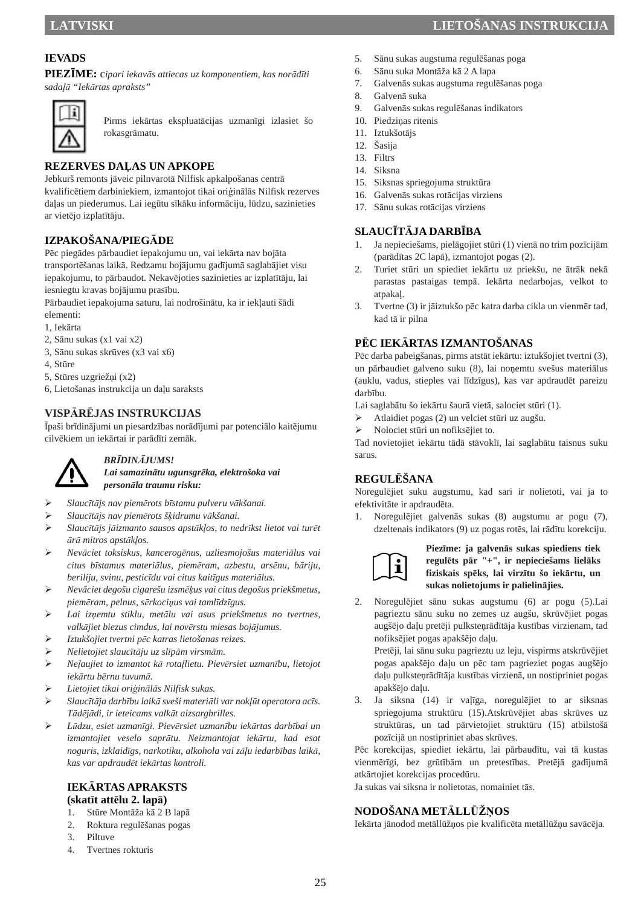**PIEZĪME:** c*ipari iekavās attiecas uz komponentiem, kas norādīti sadaļā "Iekārtas apraksts"* 



Pirms iekārtas ekspluatācijas uzmanīgi izlasiet šo rokasgrāmatu.

## **REZERVES DAĻAS UN APKOPE**

Jebkurš remonts jāveic pilnvarotā Nilfisk apkalpošanas centrā kvalificētiem darbiniekiem, izmantojot tikai oriģinālās Nilfisk rezerves daļas un piederumus. Lai iegūtu sīkāku informāciju, lūdzu, sazinieties ar vietējo izplatītāju.

## **IZPAKOŠANA/PIEGĀDE**

Pēc piegādes pārbaudiet iepakojumu un, vai iekārta nav bojāta transportēšanas laikā. Redzamu bojājumu gadījumā saglabājiet visu iepakojumu, to pārbaudot. Nekavējoties sazinieties ar izplatītāju, lai iesniegtu kravas bojājumu prasību.

Pārbaudiet iepakojuma saturu, lai nodrošinātu, ka ir iekļauti šādi elementi:

- 1, Iekārta
- 2, Sānu sukas (x1 vai x2)
- 3, Sānu sukas skrūves (x3 vai x6)
- 4, Stūre
- 5, Stūres uzgriežņi (x2)
- 6, Lietošanas instrukcija un daļu saraksts

#### **VISPĀRĒJAS INSTRUKCIJAS**

Īpaši brīdinājumi un piesardzības norādījumi par potenciālo kaitējumu cilvēkiem un iekārtai ir parādīti zemāk.



#### *BRĪDINĀJUMS!*

*Lai samazinātu ugunsgrēka, elektrošoka vai personāla traumu risku:* 

- *Slaucītājs nav piemērots bīstamu pulveru vākšanai.*
- *Slaucītājs nav piemērots šķidrumu vākšanai.*
- *Slaucītājs jāizmanto sausos apstākļos, to nedrīkst lietot vai turēt ārā mitros apstākļos.*
- *Nevāciet toksiskus, kancerogēnus, uzliesmojošus materiālus vai citus bīstamus materiālus, piemēram, azbestu, arsēnu, bāriju, beriliju, svinu, pesticīdu vai citus kaitīgus materiālus.*
- *Nevāciet degošu cigarešu izsmēķus vai citus degošus priekšmetus, piemēram, pelnus, sērkociņus vai tamlīdzīgus.*
- *Lai izņemtu stiklu, metālu vai asus priekšmetus no tvertnes, valkājiet biezus cimdus, lai novērstu miesas bojājumus.*
- *Iztukšojiet tvertni pēc katras lietošanas reizes.*
- *Nelietojiet slaucītāju uz slīpām virsmām.*
- *Neļaujiet to izmantot kā rotaļlietu. Pievērsiet uzmanību, lietojot iekārtu bērnu tuvumā.*
- *Lietojiet tikai oriģinālās Nilfisk sukas.*
- *Slaucītāja darbību laikā sveši materiāli var nokļūt operatora acīs. Tādējādi, ir ieteicams valkāt aizsargbrilles.*
- *Lūdzu, esiet uzmanīgi. Pievērsiet uzmanību iekārtas darbībai un izmantojiet veselo saprātu. Neizmantojat iekārtu, kad esat noguris, izklaidīgs, narkotiku, alkohola vai zāļu iedarbības laikā, kas var apdraudēt iekārtas kontroli.*

## **IEKĀRTAS APRAKSTS**

## **(skatīt attēlu 2. lapā)**

- 1. Stūre Montāža kā 2 B lapā
- 2. Roktura regulēšanas pogas
- 3. Piltuve
- 4. Tvertnes rokturis
- **LATVISKI LIETOŠANAS INSTRUKCIJA** 
	- 5. Sānu sukas augstuma regulēšanas poga
	- 6. Sānu suka Montāža kā 2 A lapa
	- 7. Galvenās sukas augstuma regulēšanas poga
	- 8. Galvenā suka
	- 9. Galvenās sukas regulēšanas indikators
	- 10. Piedziņas ritenis
	- 11. Iztukšotājs
	- 12. Šasija
	- 13. Filtrs
	- 14. Siksna
	- 15. Siksnas spriegojuma struktūra
	- 16. Galvenās sukas rotācijas virziens
	- 17. Sānu sukas rotācijas virziens

#### **SLAUCĪTĀJA DARBĪBA**

- 1. Ja nepieciešams, pielāgojiet stūri (1) vienā no trim pozīcijām (parādītas 2C lapā), izmantojot pogas (2).
- 2. Turiet stūri un spiediet iekārtu uz priekšu, ne ātrāk nekā parastas pastaigas tempā. Iekārta nedarbojas, velkot to atpakaļ.
- 3. Tvertne (3) ir jāiztukšo pēc katra darba cikla un vienmēr tad, kad tā ir pilna

#### **PĒC IEKĀRTAS IZMANTOŠANAS**

Pēc darba pabeigšanas, pirms atstāt iekārtu: iztukšojiet tvertni (3), un pārbaudiet galveno suku (8), lai noņemtu svešus materiālus (auklu, vadus, stieples vai līdzīgus), kas var apdraudēt pareizu darbību.

Lai saglabātu šo iekārtu šaurā vietā, salociet stūri (1).

- Atlaidiet pogas (2) un velciet stūri uz augšu.
- Nolociet stūri un nofiksējiet to.

Tad novietojiet iekārtu tādā stāvoklī, lai saglabātu taisnus suku sarus.

## **REGULĒŠANA**

Noregulējiet suku augstumu, kad sari ir nolietoti, vai ja to efektivitāte ir apdraudēta.

1. Noregulējiet galvenās sukas (8) augstumu ar pogu (7), dzeltenais indikators (9) uz pogas rotēs, lai rādītu korekciju.



**Piezīme: ja galvenās sukas spiediens tiek regulēts pār "+", ir nepieciešams lielāks fiziskais spēks, lai virzītu šo iekārtu, un sukas nolietojums ir palielinājies.**

2. Noregulējiet sānu sukas augstumu (6) ar pogu (5).Lai pagrieztu sānu suku no zemes uz augšu, skrūvējiet pogas augšējo daļu pretēji pulksteņrādītāja kustības virzienam, tad nofiksējiet pogas apakšējo daļu.

Pretēji, lai sānu suku pagrieztu uz leju, vispirms atskrūvējiet pogas apakšējo daļu un pēc tam pagrieziet pogas augšējo daļu pulksteņrādītāja kustības virzienā, un nostipriniet pogas apakšējo daļu.

3. Ja siksna (14) ir vaļīga, noregulējiet to ar siksnas spriegojuma struktūru (15).Atskrūvējiet abas skrūves uz struktūras, un tad pārvietojiet struktūru (15) atbilstošā pozīcijā un nostipriniet abas skrūves.

Pēc korekcijas, spiediet iekārtu, lai pārbaudītu, vai tā kustas vienmērīgi, bez grūtībām un pretestības. Pretējā gadījumā atkārtojiet korekcijas procedūru.

Ja sukas vai siksna ir nolietotas, nomainiet tās.

## **NODOŠANA METĀLLŪŽŅOS**

Iekārta jānodod metāllūžņos pie kvalificēta metāllūžņu savācēja.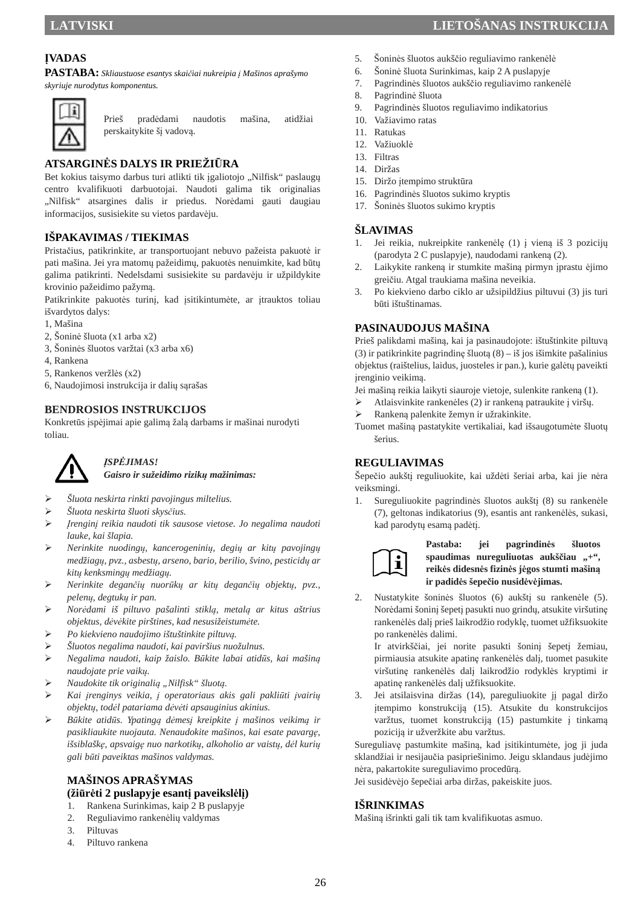## **ĮVADAS**

**PASTABA:** *Skliaustuose esantys skaičiai nukreipia į Mašinos aprašymo skyriuje nurodytus komponentus.* 



Prieš pradėdami naudotis mašina, atidžiai perskaitykite šį vadovą.

## **ATSARGINĖS DALYS IR PRIEŽIŪRA**

Bet kokius taisymo darbus turi atlikti tik įgaliotojo "Nilfisk" paslaugų centro kvalifikuoti darbuotojai. Naudoti galima tik originalias "Nilfisk" atsargines dalis ir priedus. Norėdami gauti daugiau informacijos, susisiekite su vietos pardavėju.

#### **IŠPAKAVIMAS / TIEKIMAS**

Pristačius, patikrinkite, ar transportuojant nebuvo pažeista pakuotė ir pati mašina. Jei yra matomų pažeidimų, pakuotės nenuimkite, kad būtų galima patikrinti. Nedelsdami susisiekite su pardavėju ir užpildykite krovinio pažeidimo pažymą.

Patikrinkite pakuotės turinį, kad įsitikintumėte, ar įtrauktos toliau išvardytos dalys:

- 1, Mašina
- 2, Šoninė šluota (x1 arba x2)
- 3, Šoninės šluotos varžtai (x3 arba x6)
- 4, Rankena
- 5, Rankenos veržlės (x2)
- 6, Naudojimosi instrukcija ir dalių sąrašas

#### **BENDROSIOS INSTRUKCIJOS**

Konkretūs įspėjimai apie galimą žalą darbams ir mašinai nurodyti toliau.



#### *ĮSPĖJIMAS!*

*Gaisro ir sužeidimo rizikų mažinimas:* 

- *Šluota neskirta rinkti pavojingus miltelius.*
- *Šluota neskirta šluoti skysčius.*
- *Įrenginį reikia naudoti tik sausose vietose. Jo negalima naudoti lauke, kai šlapia.*
- *Nerinkite nuodingų, kancerogeninių, degių ar kitų pavojingų medžiagų, pvz., asbestų, arseno, bario, berilio, švino, pesticidų ar kitų kenksmingų medžiagų.*
- *Nerinkite degančių nuorūkų ar kitų degančių objektų, pvz., pelenų, degtukų ir pan.*
- *Norėdami iš piltuvo pašalinti stiklą, metalą ar kitus aštrius objektus, dėvėkite pirštines, kad nesusižeistumėte.*
- *Po kiekvieno naudojimo ištuštinkite piltuvą.*
- *Šluotos negalima naudoti, kai paviršius nuožulnus.*
- *Negalima naudoti, kaip žaislo. Būkite labai atidūs, kai mašiną naudojate prie vaikų.*
- *Naudokite tik originalią "Nilfisk" šluotą.*
- *Kai įrenginys veikia, į operatoriaus akis gali pakliūti įvairių objektų, todėl patariama dėvėti apsauginius akinius.*
- *Būkite atidūs. Ypatingą dėmesį kreipkite į mašinos veikimą ir pasikliaukite nuojauta. Nenaudokite mašinos, kai esate pavargę, išsiblaškę, apsvaigę nuo narkotikų, alkoholio ar vaistų, dėl kurių gali būti paveiktas mašinos valdymas.*

## **MAŠINOS APRAŠYMAS (žiūrėti 2 puslapyje esantį paveikslėlį)**

- 1. Rankena Surinkimas, kaip 2 B puslapyje
- 2. Reguliavimo rankenėlių valdymas
- 3. Piltuvas
- 4. Piltuvo rankena
- 5. Šoninės šluotos aukščio reguliavimo rankenėlė
- 6. Šoninė šluota Surinkimas, kaip 2 A puslapyje
- 7. Pagrindinės šluotos aukščio reguliavimo rankenėlė
- 8. Pagrindinė šluota
- 9. Pagrindinės šluotos reguliavimo indikatorius
- 10. Važiavimo ratas
- 11. Ratukas
- 12. Važiuoklė
- 13. Filtras
- 14. Diržas
- 15. Diržo įtempimo struktūra
- 16. Pagrindinės šluotos sukimo kryptis
- 17. Šoninės šluotos sukimo kryptis

#### **ŠLAVIMAS**

- 1. Jei reikia, nukreipkite rankenėlę (1) į vieną iš 3 pozicijų (parodyta 2 C puslapyje), naudodami rankeną (2).
- 2. Laikykite rankeną ir stumkite mašiną pirmyn įprastu ėjimo greičiu. Atgal traukiama mašina neveikia.
- 3. Po kiekvieno darbo ciklo ar užsipildžius piltuvui (3) jis turi būti ištuštinamas.

#### **PASINAUDOJUS MAŠINA**

Prieš palikdami mašiną, kai ja pasinaudojote: ištuštinkite piltuvą (3) ir patikrinkite pagrindinę šluotą (8) – iš jos išimkite pašalinius objektus (raištelius, laidus, juosteles ir pan.), kurie galėtų paveikti įrenginio veikimą.

Jei mašiną reikia laikyti siauroje vietoje, sulenkite rankeną (1).

- Atlaisvinkite rankenėles (2) ir rankeną patraukite į viršų.
- Rankeną palenkite žemyn ir užrakinkite.
- Tuomet mašiną pastatykite vertikaliai, kad išsaugotumėte šluotų šerius.

#### **REGULIAVIMAS**

Šepečio aukštį reguliuokite, kai uždėti šeriai arba, kai jie nėra veiksmingi.

1. Sureguliuokite pagrindinės šluotos aukštį (8) su rankenėle (7), geltonas indikatorius (9), esantis ant rankenėlės, sukasi, kad parodytų esamą padėtį.



**Pastaba: jei pagrindinės šluotos**  spaudimas nureguliuotas aukščiau "+", **reikės didesnės fizinės jėgos stumti mašiną ir padidės šepečio nusidėvėjimas.**

2. Nustatykite šoninės šluotos (6) aukštį su rankenėle (5). Norėdami šoninį šepetį pasukti nuo grindų, atsukite viršutinę rankenėlės dalį prieš laikrodžio rodyklę, tuomet užfiksuokite po rankenėlės dalimi.

Ir atvirkščiai, jei norite pasukti šoninį šepetį žemiau, pirmiausia atsukite apatinę rankenėlės dalį, tuomet pasukite viršutinę rankenėlės dalį laikrodžio rodyklės kryptimi ir apatinę rankenėlės dalį užfiksuokite.

3. Jei atsilaisvina diržas (14), pareguliuokite jį pagal diržo įtempimo konstrukciją (15). Atsukite du konstrukcijos varžtus, tuomet konstrukciją (15) pastumkite į tinkamą poziciją ir užveržkite abu varžtus.

Sureguliavę pastumkite mašiną, kad įsitikintumėte, jog ji juda sklandžiai ir nesijaučia pasipriešinimo. Jeigu sklandaus judėjimo nėra, pakartokite sureguliavimo procedūrą.

Jei susidėvėjo šepečiai arba diržas, pakeiskite juos.

#### **IŠRINKIMAS**

Mašiną išrinkti gali tik tam kvalifikuotas asmuo.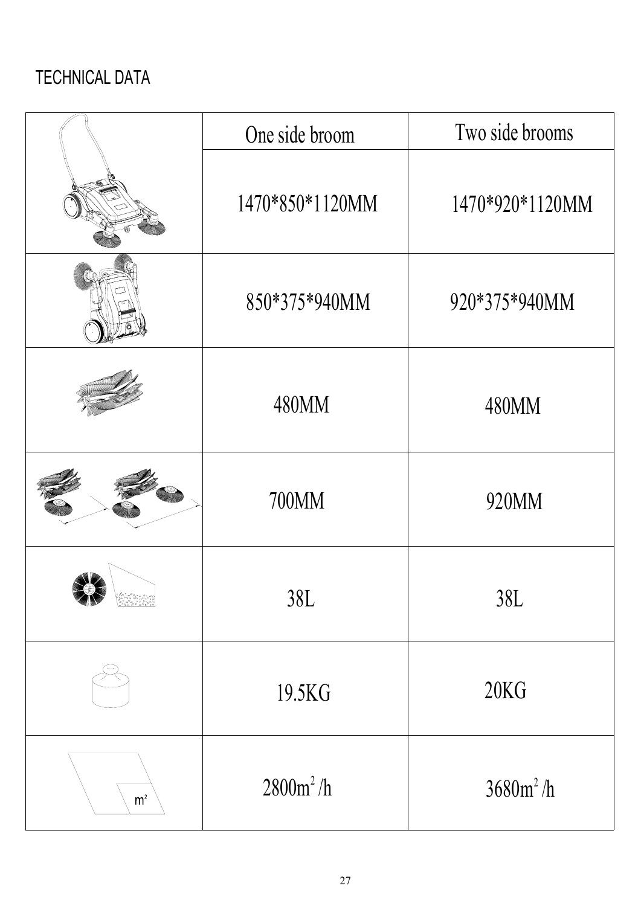# TECHNICAL DATA

|                                  | One side broom  | Two side brooms |
|----------------------------------|-----------------|-----------------|
|                                  | 1470*850*1120MM | 1470*920*1120MM |
|                                  | 850*375*940MM   | 920*375*940MM   |
|                                  | 480MM           | 480MM           |
|                                  | 700MM           | 920MM           |
|                                  | 38L             | 38L             |
|                                  | 19.5KG          | 20KG            |
| ${\sf m}^{\scriptscriptstyle 2}$ | $2800m^2/h$     | $3680m^2/h$     |